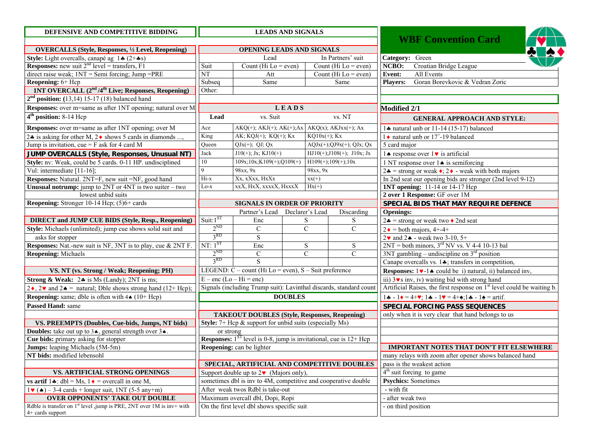| DEFENSIVE AND COMPETITIVE BIDDING                                                   | <b>LEADS AND SIGNALS</b>                                       |                                                                                 |                 |                              |                     |                                                                                                                              |
|-------------------------------------------------------------------------------------|----------------------------------------------------------------|---------------------------------------------------------------------------------|-----------------|------------------------------|---------------------|------------------------------------------------------------------------------------------------------------------------------|
|                                                                                     |                                                                |                                                                                 |                 |                              |                     | <b>WBF Convention Card</b>                                                                                                   |
| <b>OVERCALLS (Style, Responses, 1/2 Level, Reopening)</b>                           | OPENING LEADS AND SIGNALS                                      |                                                                                 |                 |                              |                     |                                                                                                                              |
| Style: Light overcalls, canapé ag $1 \cdot (2 + \cdot s)$                           |                                                                | Lead                                                                            |                 | In Partners' suit            | Category: Green     |                                                                                                                              |
| <b>Responses:</b> new suit $2^{nd}$ level = transfers, F1                           | Suit                                                           | Count (Hi $Lo = even$ )                                                         |                 | Count (Hi $Lo = even$ )      | NCBO:               | Croatian Bridge League                                                                                                       |
| direct raise weak; $1NT =$ Semi forcing; Jump = $PRE$                               | NT                                                             | Att                                                                             |                 | Count (Hi $Lo = even$ )      | Event:              | All Events                                                                                                                   |
| Reopening: 6+ Hcp                                                                   | Subseq                                                         | Same                                                                            |                 | Same                         | <b>Players:</b>     | Goran Borevkovic & Vedran Zoric                                                                                              |
| <b>1NT OVERCALL (2<sup>nd</sup>/4<sup>th</sup> Live; Responses, Reopening)</b>      | Other:                                                         |                                                                                 |                 |                              |                     |                                                                                                                              |
| $2nd$ position: (13,14) 15-17 (18) balanced hand                                    |                                                                |                                                                                 |                 |                              |                     |                                                                                                                              |
| Responses: over m=same as after 1NT opening; natural over M                         |                                                                | LEADS                                                                           |                 |                              | Modified 2/1        |                                                                                                                              |
| $4th$ position: 8-14 Hcp                                                            | Lead                                                           | vs. Suit                                                                        |                 | vs. NT                       |                     | <b>GENERAL APPROACH AND STYLE:</b>                                                                                           |
| Responses: over m=same as after 1NT opening; over M                                 | Ace                                                            | $AKQ(+)$ ; $AKJ(+)$ ; $AK(+)$ ; $Ax$ $AKQ(x)$ ; $AKJxx(+)$ ; $Ax$               |                 |                              |                     | 1. natural unb or 11-14 (15-17) balanced                                                                                     |
| 2.4 is asking for other M, 2.4 shows 5 cards in diamonds                            | King                                                           | AK; KQJ(+); KQ(+); Kx                                                           | $KQ10x(+); Kx$  |                              |                     | 1 ♦ natural unb or $17^{\circ}$ -19 balanced                                                                                 |
| Jump is invitation, cue = $F$ ask for 4 card M                                      | Queen                                                          | $QJx(+); QJ; Qx$                                                                |                 | $AQJx(+);QJ9x(+);QJx;Qx$     | $5$ card major      |                                                                                                                              |
| JUMP OVERCALLS (Style, Responses, Unusual NT)                                       | Jack                                                           | $J10(+)$ ; Jx; KJ $10(+)$                                                       |                 | $HJ10(+); J108(+); J10x; Jx$ |                     | 14 response over $1\blacktriangleright$ is artificial                                                                        |
| Style: nv: Weak, could be 5 cards. 0-11 HP. undisciplined                           | 10                                                             | $109x; 10x; K109(+); Q109(+)$                                                   |                 | $H109(+); 109(+); 10x$       |                     | 1 NT response over $1 \triangleleft$ is semiforcing                                                                          |
| Vul: intermediate [11-16];                                                          | 9                                                              | 98xx, 9x                                                                        | 98xx, 9x        |                              |                     | $2\bullet$ = strong or weak $\bullet$ ; 2 $\bullet$ - weak with both majors                                                  |
| Responses: Natural. 2NT=F, new suit =NF, good hand                                  | Hi-x                                                           | Xx, xXxx, HxXx                                                                  | $xx(+)$         |                              |                     | In 2nd seat our opening bids are stronger (2nd level 9-12)                                                                   |
| <b>Unusual notrump:</b> jump to $2NT$ or $4NT$ is two suiter – two                  | Lo-x                                                           | xxX, HxX, xxxxX, HxxxX                                                          | $Hx(+)$         |                              |                     | <b>1NT opening:</b> 11-14 or 14-17 Hcp                                                                                       |
| lowest unbid suits                                                                  |                                                                |                                                                                 |                 |                              |                     | 2 over 1 Response: GF over 1M                                                                                                |
| Reopening: Stronger 10-14 Hcp; (5)6+ cards                                          |                                                                | <b>SIGNALS IN ORDER OF PRIORITY</b>                                             |                 |                              |                     | SPECIAL BIDS THAT MAY REQUIRE DEFENCE                                                                                        |
|                                                                                     |                                                                | Partner's Lead                                                                  | Declarer's Lead | Discarding                   | <b>Openings:</b>    |                                                                                                                              |
| <b>DIRECT and JUMP CUE BIDS (Style, Resp., Reopening)</b>                           | Suit: $1ST$                                                    | Enc                                                                             | S               | S                            |                     | $2\clubsuit$ = strong or weak two ♦ 2nd seat                                                                                 |
| Style: Michaels (unlimited); jump cue shows solid suit and                          | $2^{ND}$                                                       | $\mathcal{C}$                                                                   | $\mathbf C$     | $\mathbf C$                  |                     | $2 \cdot =$ both majors, 4+-4+                                                                                               |
| asks for stopper                                                                    | 3 <sup>RD</sup>                                                | S                                                                               |                 |                              |                     | $2$ v and $2$ → weak two 3-10, 5+                                                                                            |
| Responses: Nat.-new suit is NF, 3NT is to play, cue & 2NT F.                        | $NT: 1^{ST}$                                                   | Enc                                                                             | ${\bf S}$       | S                            |                     | $2NT = both minors, 3rd NV vs. V 4-4 10-13 bal$                                                                              |
| <b>Reopening: Michaels</b>                                                          | $2^{ND}$                                                       | $\mathcal{C}$                                                                   | $\mathbf C$     | $\mathcal{C}$                |                     | $3NT$ gambling – undiscipline on $3rd$ position                                                                              |
|                                                                                     | 3 <sup>RD</sup>                                                | S                                                                               |                 |                              |                     | Canape overcalls vs. 14; transfers in competition,                                                                           |
| VS. NT (vs. Strong / Weak; Reopening; PH)                                           |                                                                | LEGEND: $C$ – count (Hi Lo = even), $S$ – Suit preference                       |                 |                              |                     | <b>Responses:</b> $1 \vee -1 \triangleleft$ could be i) natural, ii) balanced inv,                                           |
| <b>Strong &amp; Weak:</b> $2 \cdot \text{is}$ Is Ms (Landy); 2NT is ms;             | $E - enc$ (Lo – Hi = enc)                                      |                                                                                 |                 |                              |                     | iii) $3 \vee s$ inv, iv) waiting bid with strong hand                                                                        |
| $2\bullet$ , $2\bullet$ and $2\bullet$ = natural; Dble shows strong hand (12+ Hcp); |                                                                | Signals (including Trump suit): Lavinthal discards, standard count              |                 |                              |                     | Artificial Raises, the first response on 1 <sup>st</sup> level could be waiting b.                                           |
| <b>Reopening:</b> same; dble is often with $4 \cdot (10 + \text{Hcp})$              |                                                                | <b>DOUBLES</b>                                                                  |                 |                              |                     | $1\clubsuit - 1\spadesuit = 4 + \vee$ ; $1\clubsuit - 1\heartsuit = 4 + \triangle$ ; $1\clubsuit - 1\spadesuit = \ar{iff}$ . |
| Passed Hand: same                                                                   |                                                                |                                                                                 |                 |                              |                     | <b>SPECIAL FORCING PASS SEQUENCES</b>                                                                                        |
|                                                                                     |                                                                | <b>TAKEOUT DOUBLES (Style, Responses, Reopening)</b>                            |                 |                              |                     | only when it is very clear that hand belongs to us                                                                           |
| VS. PREEMPTS (Doubles, Cue-bids, Jumps, NT bids)                                    |                                                                | <b>Style:</b> $7+$ Hcp $\&$ support for unbid suits (especially Ms)             |                 |                              |                     |                                                                                                                              |
| <b>Doubles:</b> take out up to $3\star$ , general strength over $3\star$ .          | or strong                                                      |                                                                                 |                 |                              |                     |                                                                                                                              |
| Cue bids: primary asking for stopper                                                |                                                                | <b>Responses:</b> $1^{ST}$ level is 0-8, jump is invitational, cue is $12+$ Hcp |                 |                              |                     |                                                                                                                              |
| Jumps: leaping Michaels (5M-5m)                                                     |                                                                | Reopening: can be lighter                                                       |                 |                              |                     | IMPORTANT NOTES THAT DON'T FIT ELSEWHERE                                                                                     |
| NT bids: modified lebensohl                                                         |                                                                |                                                                                 |                 |                              |                     | many relays with zoom after opener shows balanced hand                                                                       |
|                                                                                     |                                                                | SPECIAL, ARTIFICIAL AND COMPETITIVE DOUBLES                                     |                 |                              |                     | pass is the weakest action                                                                                                   |
| VS. ARTIFICIAL STRONG OPENINGS                                                      | Support double up to $2\bullet$ (Majors only),                 |                                                                                 |                 |                              |                     | $4th$ suit forcing to game                                                                                                   |
| vs artif $1\clubsuit$ : dbl = Ms, $1\bullet$ = overcall in one M.                   | sometimes dbl is inv to 4M, competitive and cooperative double |                                                                                 |                 |                              |                     | <b>Psychics:</b> Sometimes                                                                                                   |
| $1\bullet$ ( $\bullet$ ) – 3-4 cards + longer suit, 1NT (5-5 any+m)                 |                                                                | After weak twos Rdbl is take-out                                                |                 |                              | - with fit          |                                                                                                                              |
| <b>OVER OPPONENTS' TAKE OUT DOUBLE</b>                                              |                                                                | Maximum overcall dbl, Dopi, Ropi                                                |                 |                              | - after weak two    |                                                                                                                              |
| Rdble is transfer on 1 <sup>st</sup> level jump is PRE, 2NT over 1M is inv+ with    |                                                                | On the first level dbl shows specific suit                                      |                 |                              | - on third position |                                                                                                                              |
| 4+ cards support                                                                    |                                                                |                                                                                 |                 |                              |                     |                                                                                                                              |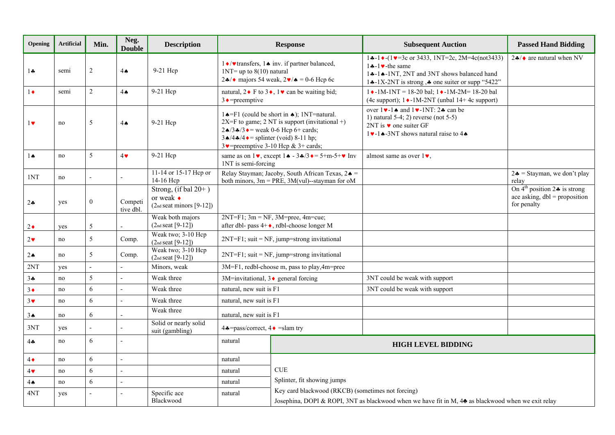| Opening               | <b>Artificial</b> | Min.             | Neg.<br><b>Double</b> | <b>Description</b>                                                         |                                                                                                                                                                                                                                                                                                    | <b>Response</b>                                                                                                                   | <b>Subsequent Auction</b>                                                                                                                                                                               | <b>Passed Hand Bidding</b>                                                                       |
|-----------------------|-------------------|------------------|-----------------------|----------------------------------------------------------------------------|----------------------------------------------------------------------------------------------------------------------------------------------------------------------------------------------------------------------------------------------------------------------------------------------------|-----------------------------------------------------------------------------------------------------------------------------------|---------------------------------------------------------------------------------------------------------------------------------------------------------------------------------------------------------|--------------------------------------------------------------------------------------------------|
| $1 -$                 | semi              | $\overline{2}$   | $4\spadesuit$         | 9-21 Hcp                                                                   | $1NT = up to 8(10)$ natural                                                                                                                                                                                                                                                                        | 1 Veransfers, 1↑ inv. if partner balanced,<br>2↑/◆ majors 54 weak, $2 \cdot / \cdot$ = 0-6 Hcp 6c                                 | $1 \div -1 \div (1 \vee = 3c$ or 3433, 1NT=2c, 2M=4c(not3433)<br>$1 - 1$ + the same<br>14-14-1NT, 2NT and 3NT shows balanced hand<br>14-1X-2NT is strong, $\triangle$ one suiter or supp "5422"         | $2\clubsuit/\diamond$ are natural when NV                                                        |
| $1\bullet$            | semi              | $\overline{2}$   | $4 \spadesuit$        | 9-21 Hcp                                                                   | natural, $2 \cdot F$ to $3 \cdot 1 \cdot \text{can}$ be waiting bid;<br>$3 \rightarrow$ =preemptive                                                                                                                                                                                                |                                                                                                                                   | $1 \cdot -1M-1NT = 18-20$ bal; $1 \cdot -1M-2M = 18-20$ bal<br>(4c support); $1 \cdot -1 M - 2 N T$ (unbal 14+4c support)                                                                               |                                                                                                  |
| $1\blacktriangledown$ | no                | 5                | $4\spadesuit$         | 9-21 Hcp                                                                   | $1 \triangle = F1$ (could be short in $\triangle$ ); 1NT=natural.<br>$2X=F$ to game; 2 NT is support (invitational +)<br>$2\triangle 73 \triangle 73$ $\triangle$ = weak 0-6 Hcp 6+ cards;<br>$3\triangle/4\triangle/4\triangle$ = splinter (void) 8-11 hp;<br>3 v=preemptive 3-10 Hcp & 3+ cards; |                                                                                                                                   | over $1 \vee -1 \wedge$ and $1 \vee -1 \vee T$ : 24 can be<br>1) natural $5-4$ ; 2) reverse (not $5-5$ )<br>2NT is $\bullet$ one suiter GF<br>1. $\bullet$ -1. $\bullet$ -3NT shows natural raise to 4. |                                                                                                  |
| $1 \spadesuit$        | no                | 5                | $4\bullet$            | 9-21 Hcp                                                                   | 1NT is semi-forcing                                                                                                                                                                                                                                                                                | same as on $1\blacktriangledown$ , except $1\blacktriangle - 3\blacktriangle /3\blacktriangledown = 5+m-5+\blacktriangledown$ Inv | almost same as over $1\blacktriangledown$ ,                                                                                                                                                             |                                                                                                  |
| 1NT                   | no                |                  |                       | 11-14 or 15-17 Hep or<br>14-16 Hcp                                         |                                                                                                                                                                                                                                                                                                    | Relay Stayman; Jacoby, South African Texas, $2 \triangle$ =<br>both minors, $3m = PRE$ , $3M(vul)$ --stayman for oM               |                                                                                                                                                                                                         | $2\clubsuit$ = Stayman, we don't play<br>relay                                                   |
| $2 - $                | yes               | $\boldsymbol{0}$ | Competi<br>tive dbl.  | Strong, (if bal $20+$ )<br>or weak $\bullet$<br>$(2nd seat minors [9-12])$ |                                                                                                                                                                                                                                                                                                    |                                                                                                                                   |                                                                                                                                                                                                         | On $4^{\text{th}}$ position $2 \div$ is strong<br>ace asking, $dbl = proposition$<br>for penalty |
| $2\bullet$            | yes               | 5                |                       | Weak both majors<br>$(2nd seat [9-12])$                                    |                                                                                                                                                                                                                                                                                                    | $2NT = F1$ ; $3m = NF$ , $3M = prec$ , $4m = cue$ ;<br>after dbl- pass $4 + \bullet$ , rdbl-choose longer M                       |                                                                                                                                                                                                         |                                                                                                  |
| $2\bullet$            | no                | 5                | Comp.                 | Weak two; 3-10 Hcp<br>$(2nd seat [9-12])$                                  |                                                                                                                                                                                                                                                                                                    | 2NT=F1; suit = NF, jump=strong invitational                                                                                       |                                                                                                                                                                                                         |                                                                                                  |
| $2\spadesuit$         | no                | 5                | Comp.                 | Weak two; 3-10 Hcp<br>$(2nd seat [9-12])$                                  | $2NT = F1$ ; suit = NF, jump=strong invitational                                                                                                                                                                                                                                                   |                                                                                                                                   |                                                                                                                                                                                                         |                                                                                                  |
| 2NT                   | yes               |                  |                       | Minors, weak                                                               |                                                                                                                                                                                                                                                                                                    | 3M=F1, redbl-choose m, pass to play, 4m=pree                                                                                      |                                                                                                                                                                                                         |                                                                                                  |
| $3 -$                 | no                | 5                |                       | Weak three                                                                 | 3M=invitational, 3♦ general forcing                                                                                                                                                                                                                                                                |                                                                                                                                   | 3NT could be weak with support                                                                                                                                                                          |                                                                                                  |
| $3\bullet$            | no                | 6                |                       | Weak three                                                                 | natural, new suit is F1                                                                                                                                                                                                                                                                            |                                                                                                                                   | 3NT could be weak with support                                                                                                                                                                          |                                                                                                  |
| $3\vee$               | no                | 6                | $\overline{a}$        | Weak three                                                                 | natural, new suit is F1                                                                                                                                                                                                                                                                            |                                                                                                                                   |                                                                                                                                                                                                         |                                                                                                  |
| 3 <sub>•</sub>        | no                | 6                |                       | Weak three                                                                 | natural, new suit is F1                                                                                                                                                                                                                                                                            |                                                                                                                                   |                                                                                                                                                                                                         |                                                                                                  |
| 3NT                   | yes               |                  |                       | Solid or nearly solid<br>suit (gambling)                                   | $4\clubsuit = \text{pass/correct}, 4\spadesuit = \text{slam try}$                                                                                                                                                                                                                                  |                                                                                                                                   |                                                                                                                                                                                                         |                                                                                                  |
| $4\clubsuit$          | no                | 6                | $\overline{a}$        |                                                                            | natural                                                                                                                                                                                                                                                                                            |                                                                                                                                   | <b>HIGH LEVEL BIDDING</b>                                                                                                                                                                               |                                                                                                  |
| $4\bullet$            | no                | 6                | $\overline{a}$        |                                                                            | natural                                                                                                                                                                                                                                                                                            |                                                                                                                                   |                                                                                                                                                                                                         |                                                                                                  |
| $4\bullet$            | no                | 6                | $\mathbf{r}$          |                                                                            | natural                                                                                                                                                                                                                                                                                            | <b>CUE</b>                                                                                                                        |                                                                                                                                                                                                         |                                                                                                  |
| $4 \spadesuit$        | no                | 6                | $\overline{a}$        |                                                                            | natural                                                                                                                                                                                                                                                                                            | Splinter, fit showing jumps                                                                                                       |                                                                                                                                                                                                         |                                                                                                  |
| 4NT                   | yes               |                  |                       | Specific ace                                                               | Key card blackwood (RKCB) (sometimes not forcing)<br>natural                                                                                                                                                                                                                                       |                                                                                                                                   |                                                                                                                                                                                                         |                                                                                                  |
|                       |                   |                  |                       | Blackwood                                                                  | Josephina, DOPI & ROPI, 3NT as blackwood when we have fit in M, 4 <sup>2</sup> as blackwood when we exit relay                                                                                                                                                                                     |                                                                                                                                   |                                                                                                                                                                                                         |                                                                                                  |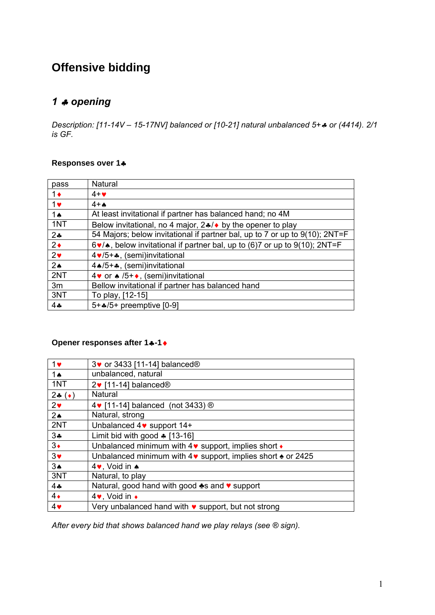# **Offensive bidding**

## *opening*

*Description: [11-14V – 15-17NV] balanced or [10-21] natural unbalanced 5+ or (4414). 2/1 is GF.* 

#### **Responses over 1**

| pass           | Natural                                                                                    |
|----------------|--------------------------------------------------------------------------------------------|
| $1\bullet$     | $4 + \bullet$                                                                              |
| $1$ v          | $4+A$                                                                                      |
| 1 A            | At least invitational if partner has balanced hand; no 4M                                  |
| 1NT            | Below invitational, no 4 major, $2 \cdot 4$ by the opener to play                          |
| $2*$           | 54 Majors; below invitational if partner bal, up to 7 or up to 9(10); 2NT=F                |
| $2\bullet$     | $6\cdot$ / $\bullet$ , below invitational if partner bal, up to (6)7 or up to 9(10); 2NT=F |
| $2\bullet$     | 4 v/5+ $\clubsuit$ , (semi)invitational                                                    |
| 2 <sub>•</sub> | 4 * /5 + *, (semi) invitational                                                            |
| 2NT            | 4 v or ▲ /5+ •, (semi)invitational                                                         |
| 3m             | Bellow invitational if partner has balanced hand                                           |
| 3NT            | To play, [12-15]                                                                           |
| $4 -$          | $5 + 4/5 +$ preemptive [0-9]                                                               |

### **Opener responses after 1+-1+**

| Unbalanced minimum with $4\vee$ support, implies short $\cdot$             |
|----------------------------------------------------------------------------|
| Unbalanced minimum with $4\vee$ support, implies short $\triangle$ or 2425 |
|                                                                            |
|                                                                            |
| Natural, good hand with good lo and v support                              |
|                                                                            |
| Very unbalanced hand with $\bullet$ support, but not strong                |
|                                                                            |

*After every bid that shows balanced hand we play relays (see ® sign).*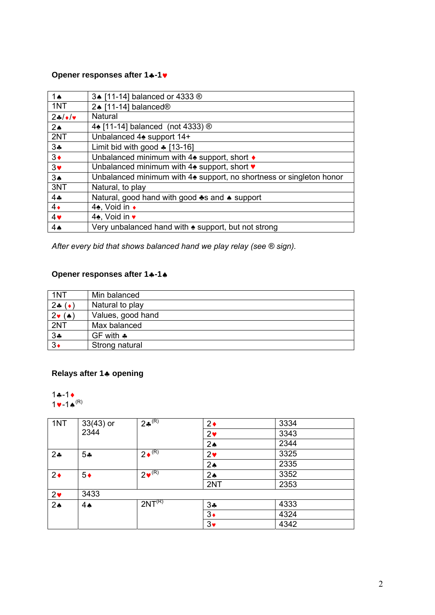#### **Opener responses after 1+-1**

| 1 <sub>A</sub>        | 3▲ [11-14] balanced or 4333 ®                                                   |
|-----------------------|---------------------------------------------------------------------------------|
| 1NT                   | 2↑ [11-14] balanced <sup>®</sup>                                                |
| $24/\sqrt{v}$         | <b>Natural</b>                                                                  |
| $2\spadesuit$         | 4 (11-14) balanced (not 4333) ®                                                 |
| 2NT                   | Unbalanced 4 <sup>o</sup> support 14+                                           |
| 34                    | Limit bid with good $\ast$ [13-16]                                              |
| $3\bullet$            | Unbalanced minimum with 4 $\triangle$ support, short ♦                          |
| $3\blacktriangledown$ | Unbalanced minimum with 4 <sup>b</sup> support, short ♥                         |
| 3 <sub>•</sub>        | Unbalanced minimum with 4 <sup>*</sup> support, no shortness or singleton honor |
| 3NT                   | Natural, to play                                                                |
| 44                    | Natural, good hand with good $\clubsuit$ s and $\spadesuit$ support             |
| $4\bullet$            | 4♠, Void in ◆                                                                   |
| 4 <sub>Y</sub>        | 4♠, Void in ♥                                                                   |
| $4\spadesuit$         | Very unbalanced hand with $\triangle$ support, but not strong                   |

*After every bid that shows balanced hand we play relay (see ® sign).* 

### **Opener responses after 1+-1+**

| 1NT                                    | Min balanced        |
|----------------------------------------|---------------------|
| 24 $(*)$                               | Natural to play     |
| $2\ntriangleright$ ( $\triangleleft$ ) | Values, good hand   |
| 2NT                                    | Max balanced        |
| 3.4                                    | GF with $\clubsuit$ |
| $3\bullet$                             | Strong natural      |

### **Relays after 1 opening**

 $1 - 1 +$  $1 - 1 \cdot (R)$ 

| 1NT            | $33(43)$ or | $2*^{(R)}$         | $2\bullet$    | 3334 |
|----------------|-------------|--------------------|---------------|------|
|                | 2344        |                    | $2\bullet$    | 3343 |
|                |             |                    | $2\spadesuit$ | 2344 |
| 2 <sub>•</sub> | $5*$        | $2 \cdot (R)$      | $2\bullet$    | 3325 |
|                |             |                    | $2\spadesuit$ | 2335 |
| $2\bullet$     | $5*$        | $2\bullet^{(R)}$   | $2\spadesuit$ | 3352 |
|                |             |                    | 2NT           | 2353 |
| $2\bullet$     | 3433        |                    |               |      |
| $2\spadesuit$  | 4A          | 2NT <sup>(R)</sup> | $3\clubsuit$  | 4333 |
|                |             |                    | $3\bullet$    | 4324 |
|                |             |                    | $3\bullet$    | 4342 |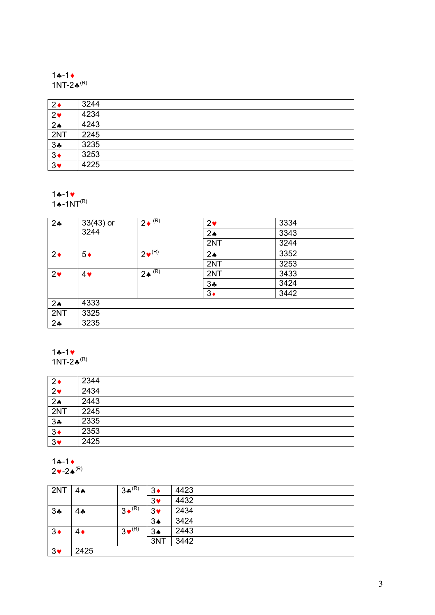#### $1 - 1 +$ 1NT-2 $\clubsuit^{(R)}$

| $2\bullet$     | 3244 |
|----------------|------|
| 2 <sub>v</sub> | 4234 |
| 2 <sub>•</sub> | 4243 |
| 2NT            | 2245 |
| $3*$           | 3235 |
| $3\bullet$     | 3253 |
| $3\bullet$     | 4225 |

#### $1 - 1$

 $1 \cdot 1$ NT<sup>(R)</sup>

| $2\clubsuit$   | $33(43)$ or<br>3244 | $2 \sqrt{(R)}$                | 2 <sub>v</sub> | 3334 |
|----------------|---------------------|-------------------------------|----------------|------|
|                |                     |                               | $2\spadesuit$  | 3343 |
|                |                     |                               | 2NT            | 3244 |
| $2\bullet$     | $5*$                | $2\bullet^{(R)}$              | $2\spadesuit$  | 3352 |
|                |                     |                               | 2NT            | 3253 |
| $2\bullet$     | $4\vee$             | $2 \spadesuit$ <sup>(R)</sup> | 2NT            | 3433 |
|                |                     |                               | $3*$           | 3424 |
|                |                     |                               | $3\bullet$     | 3442 |
| $2\spadesuit$  | 4333                |                               |                |      |
| 2NT            | 3325                |                               |                |      |
| 2 <sub>•</sub> | 3235                |                               |                |      |

## $1 - 1$

1NT-2 $\clubsuit^{(R)}$ 

| $2\bullet$     | 2344 |
|----------------|------|
| $2\bullet$     | 2434 |
| 2 <sub>•</sub> | 2443 |
| 2NT            | 2245 |
| $3\clubsuit$   | 2335 |
| $3\bullet$     | 2353 |
| $3\bullet$     | 2425 |

# $1 - 1 +$

 $2\blacktriangledown$ -24 $^{(\mathsf{R})}$ 

| 2NT        | $4 \spadesuit$ | $3*^{(R)}$         | $3\bullet$     | 4423 |
|------------|----------------|--------------------|----------------|------|
|            |                |                    | $3\bullet$     | 4432 |
| $3*$       | 44             | $3 \triangleq (R)$ | $3\bullet$     | 2434 |
|            |                |                    | 3A             | 3424 |
| $3\bullet$ | 4♦             | $3\bullet^{(R)}$   | 3 <sub>•</sub> | 2443 |
|            |                |                    | 3NT            | 3442 |
| $3\bullet$ | 2425           |                    |                |      |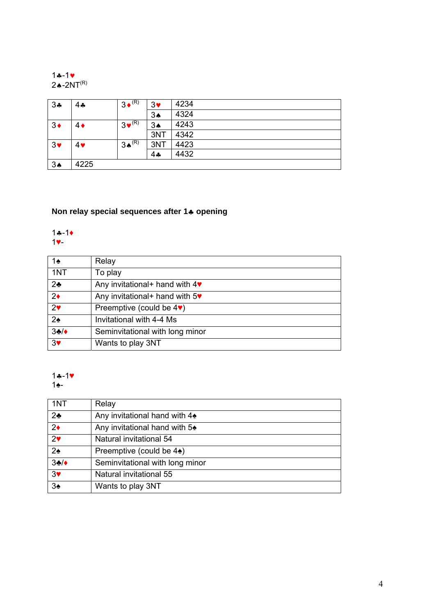#### $1 - 1$ 2♠-2NT $^{\sf(R)}$

| 34         | 4♣   | $3 \cdot (R)$                  | $3\bullet$      | 4234 |
|------------|------|--------------------------------|-----------------|------|
|            |      |                                | 3A              | 4324 |
| $3\bullet$ | 4♦   | $3 \cdot \cdot$ <sup>(R)</sup> | 3A              | 4243 |
|            |      |                                | 3NT             | 4342 |
| $3\bullet$ | 4♥   | $3 \spadesuit^{(R)}$           | 3NT             | 4423 |
|            |      |                                | $4$ $\clubsuit$ | 4432 |
| 3A         | 4225 |                                |                 |      |

### **Non relay special sequences after 14 opening**

#### $1 - 1$ ♥-

| 1♠             | Relay                                              |
|----------------|----------------------------------------------------|
| 1NT            | To play                                            |
| $2\clubsuit$   | Any invitational + hand with $4\blacktriangledown$ |
| $2\bullet$     | Any invitational + hand with $5\bullet$            |
| 2 <sub>v</sub> | Preemptive (could be $4\blacktriangledown$ )       |
| $2\spadesuit$  | Invitational with 4-4 Ms                           |
| 34/            | Seminvitational with long minor                    |
| 3 <sub>Y</sub> | Wants to play 3NT                                  |

### $1 - 1$

♠-

| 1NT              | Relay                                    |
|------------------|------------------------------------------|
| 2 <sub>2</sub>   | Any invitational hand with $4\triangle$  |
| $2\bullet$       | Any invitational hand with $5\triangleq$ |
| 2 <sup>4</sup>   | Natural invitational 54                  |
| $2\spadesuit$    | Preemptive (could be $4\spadesuit$ )     |
| $3$ */ $\bullet$ | Seminvitational with long minor          |
| 3 <sub>Y</sub>   | Natural invitational 55                  |
| 3 <sub>2</sub>   | Wants to play 3NT                        |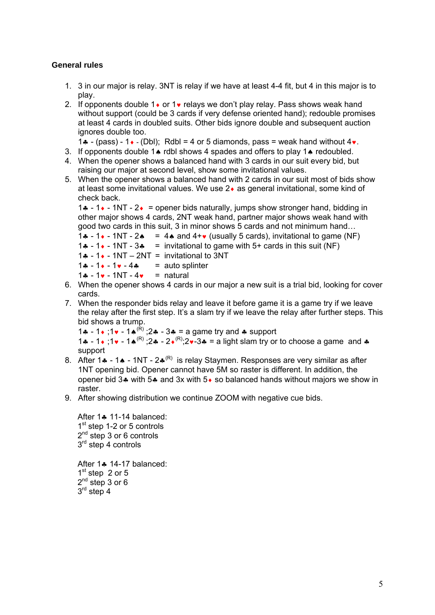#### **General rules**

- 1. 3 in our major is relay. 3NT is relay if we have at least 4-4 fit, but 4 in this major is to play.
- 2. If opponents double  $1\bullet$  or  $1\bullet$  relays we don't play relay. Pass shows weak hand without support (could be 3 cards if very defense oriented hand); redouble promises at least 4 cards in doubled suits. Other bids ignore double and subsequent auction ignores double too.
	- 1.  $-$  (pass) 1. (Dbl); Rdbl = 4 or 5 diamonds, pass = weak hand without  $4\nu$ .
- 3. If opponents double 1 $\bullet$  rdbl shows 4 spades and offers to play 1 $\bullet$  redoubled.
- 4. When the opener shows a balanced hand with 3 cards in our suit every bid, but raising our major at second level, show some invitational values.
- 5. When the opener shows a balanced hand with 2 cards in our suit most of bids show at least some invitational values. We use  $2\bullet$  as general invitational, some kind of check back.

1.4 - 1. - 1NT -  $2.1$  = opener bids naturally, jumps show stronger hand, bidding in other major shows 4 cards, 2NT weak hand, partner major shows weak hand with good two cards in this suit, 3 in minor shows 5 cards and not minimum hand…

1.4 - 1.4 - 1NT - 2.4 = 4.4 and  $4 + \bullet$  (usually 5 cards), invitational to game (NF)

```
1. -1 - 1 \cdot - 1NT - 3. = invitational to game with 5+ cards in this suit (NF)
```
- 1.4 1.4 1NT 2NT = invitational to 3NT
- $1 1 1 4$  = auto splinter
- $1 1 1 1N$   $4 1N$  = natural
- 6. When the opener shows 4 cards in our major a new suit is a trial bid, looking for cover cards.
- 7. When the responder bids relay and leave it before game it is a game try if we leave the relay after the first step. It's a slam try if we leave the relay after further steps. This bid shows a trump.

1 - 1 ;1 - 1(R) ;2 - 3 = a game try and support

1.  $-1$  :  $1 \cdot 1 \cdot -1$   $(0.8)$  :  $2 \cdot -2 \cdot (0.8)$  :  $2 \cdot -3 \cdot -2 \cdot 1$  ight slam try or to choose a game and  $\cdot$ support

- 8. After 1. 1. 1NT  $2\cdot^{R}$  is relay Staymen. Responses are very similar as after 1NT opening bid. Opener cannot have 5M so raster is different. In addition, the opener bid 3 $\clubsuit$  with 5 $\clubsuit$  and 3x with 5 $\clubsuit$  so balanced hands without majors we show in raster.
- 9. After showing distribution we continue ZOOM with negative cue bids.

After  $1$   $\bullet$  11-14 balanced:  $1<sup>st</sup>$  step 1-2 or 5 controls 2<sup>nd</sup> step 3 or 6 controls 3<sup>rd</sup> step 4 controls

After  $1$  $\bullet$  14-17 balanced:  $1<sup>st</sup>$  step 2 or 5  $2^{nd}$  step 3 or 6 3<sup>rd</sup> step 4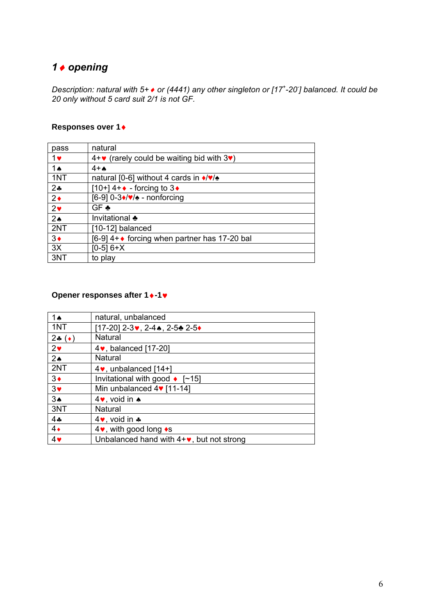## *opening*

*Description: natural with 5+ or (4441) any other singleton or [17<sup>+</sup> -20- ] balanced. It could be 20 only without 5 card suit 2/1 is not GF.* 

### **Responses over 1**

| pass           | natural                                                    |
|----------------|------------------------------------------------------------|
| $1$ v          | $4+\bullet$ (rarely could be waiting bid with $3\bullet$ ) |
| 1ѧ             | $4+A$                                                      |
| 1NT            | natural [0-6] without 4 cards in $\sqrt{\frac{9}{2}}$      |
| $2*$           | [10+] $4 + \bullet$ - forcing to 3 $\bullet$               |
| $2\bullet$     | $[6-9]$ 0-3 $\sqrt{\sqrt{2}}$ - nonforcing                 |
| 2 <sub>v</sub> | GF ♣                                                       |
| 2 <sub>•</sub> | Invitational $\clubsuit$                                   |
| 2NT            | [10-12] balanced                                           |
| $3\bullet$     | [6-9] 4+◆ forcing when partner has 17-20 bal               |
| 3X             | $[0-5] 6+X$                                                |
| 3NT            | to play                                                    |

### **Opener responses after 1 ♦-1**

| 1ѧ               | natural, unbalanced                            |
|------------------|------------------------------------------------|
| 1NT              | [17-20] 2-3♥, 2-4♠, 2-5♣ 2-5♦                  |
| 24 ( $\bullet$ ) | Natural                                        |
| $2\bullet$       | 4 v, balanced [17-20]                          |
| 2 <sub>•</sub>   | Natural                                        |
| 2NT              | $4\bullet$ , unbalanced [14+]                  |
| $3\bullet$       | Invitational with good $\bullet$ [~15]         |
| $3\bullet$       | Min unbalanced $4$ [11-14]                     |
| $3*$             | 4 $\bullet$ , void in $\bullet$                |
| 3NT              | Natural                                        |
| 44               | 4 $\bullet$ , void in $\clubsuit$              |
| $4\bullet$       | 4 $\bullet$ , with good long $\bullet$ s       |
| 4                | Unbalanced hand with $4+\vee$ , but not strong |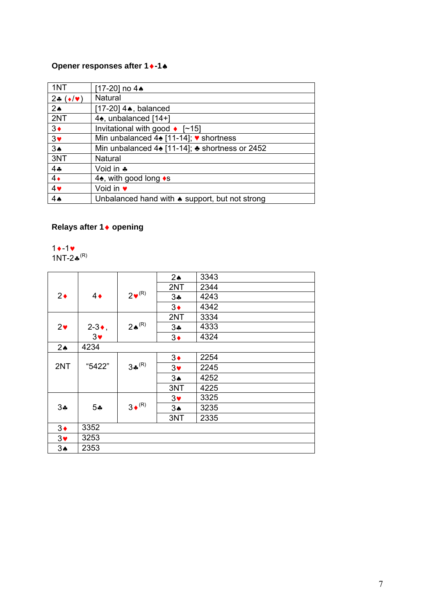## **Opener responses after 1-1**

| 1NT                    | [17-20] no 4▲                                                       |
|------------------------|---------------------------------------------------------------------|
| 24 $(\bullet/\bullet)$ | Natural                                                             |
| $2\spadesuit$          | [17-20] 4▲, balanced                                                |
| 2NT                    | 4 <sup>*</sup> , unbalanced [14+]                                   |
| $3\bullet$             | Invitational with good $\bullet$ [~15]                              |
| 3 <sub>v</sub>         | Min unbalanced 4♠ [11-14]; ♥ shortness                              |
| 3A                     | Min unbalanced $4\spadesuit$ [11-14]; $\clubsuit$ shortness or 2452 |
| 3NT                    | Natural                                                             |
| 44                     | Void in $\clubsuit$                                                 |
| $4\bullet$             | 4 <sup><math>\bullet</math></sup> , with good long $\bullet$ s      |
| 4                      | Void in $\bullet$                                                   |
| 4 <sub>•</sub>         | Unbalanced hand with $\bullet$ support, but not strong              |

## **Relays after 1 opening**

 $1 - 1$ 1NT-2 $\clubsuit^{(R)}$ 

|                       |                   |                      | $2\spadesuit$         | 3343 |
|-----------------------|-------------------|----------------------|-----------------------|------|
|                       |                   |                      | 2NT                   | 2344 |
| $2\bullet$            | $4\bullet$        | $2\nabla^{(R)}$      | 34                    | 4243 |
|                       |                   |                      | $3\bullet$            | 4342 |
|                       |                   |                      | 2NT                   | 3334 |
| 2 <sub>v</sub>        | $2-3$ $\bullet$ , | $2 \spadesuit^{(R)}$ | 34                    | 4333 |
|                       | $3\bullet$        |                      | $3\bullet$            | 4324 |
| $2\spadesuit$         | 4234              |                      |                       |      |
|                       |                   |                      | $3\bullet$            | 2254 |
| 2NT                   | "5422"            | $3*^{(R)}$           | $3\blacktriangledown$ | 2245 |
|                       |                   |                      | 3 <sub>•</sub>        | 4252 |
|                       |                   |                      | 3NT                   | 4225 |
|                       |                   |                      | $3\blacktriangledown$ | 3325 |
| 34                    | 5*                | $3 \cdot (R)$        | 3A                    | 3235 |
|                       |                   |                      | 3NT                   | 2335 |
| $3\bullet$            | 3352              |                      |                       |      |
| $3\blacktriangledown$ | 3253              |                      |                       |      |
| $3\spadesuit$         | 2353              |                      |                       |      |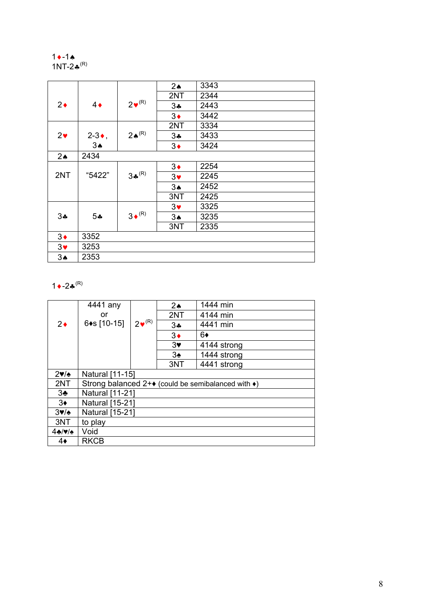#### $1 - 1$ 1NT-2 $\clubsuit^{(R)}$

|                       |                   |                      | $2\spadesuit$         | 3343 |
|-----------------------|-------------------|----------------------|-----------------------|------|
|                       |                   |                      | 2NT                   | 2344 |
| $2\bullet$            | $4\bullet$        | $2\nabla^{(R)}$      | 34                    | 2443 |
|                       |                   |                      | $3\bullet$            | 3442 |
|                       |                   |                      | 2NT                   | 3334 |
| $2\bullet$            | $2-3$ $\bullet$ , | $2 \spadesuit^{(R)}$ | 34                    | 3433 |
|                       | $3\spadesuit$     |                      | $3\bullet$            | 3424 |
| 2 <sub>•</sub>        | 2434              |                      |                       |      |
|                       |                   |                      | $3\bullet$            | 2254 |
| 2NT                   | "5422"            | $3*^{(R)}$           | $3\blacktriangledown$ | 2245 |
|                       |                   |                      | $3*$                  | 2452 |
|                       |                   |                      | 3NT                   | 2425 |
|                       |                   |                      | $3\bullet$            | 3325 |
| 34                    | $5 -$             | $3 \cdot (R)$        | $3\spadesuit$         | 3235 |
|                       |                   |                      | 3NT                   | 2335 |
| $3\bullet$            | 3352              |                      |                       |      |
| $3\blacktriangledown$ | 3253              |                      |                       |      |
| 3A                    | 2353              |                      |                       |      |

### $1 - 2*^{(R)}$

|                                      | 4441 any                                                            |                  | $2\spadesuit$ | 1444 min    |
|--------------------------------------|---------------------------------------------------------------------|------------------|---------------|-------------|
|                                      | or                                                                  |                  | 2NT           | 4144 min    |
| $2\bullet$                           | 6◆s [10-15]                                                         | $2\bullet^{(R)}$ | 34            | 4441 min    |
|                                      |                                                                     |                  | $3\bullet$    | 6♦          |
|                                      |                                                                     |                  | $3*$          | 4144 strong |
|                                      |                                                                     |                  | $3\spadesuit$ | 1444 strong |
|                                      |                                                                     |                  | 3NT           | 4441 strong |
| 2v/                                  | Natural [11-15]                                                     |                  |               |             |
| 2NT                                  | Strong balanced $2+\bullet$ (could be semibalanced with $\bullet$ ) |                  |               |             |
| $3\cdot$                             | Natural [11-21]                                                     |                  |               |             |
| $3\bullet$                           | <b>Natural [15-21]</b>                                              |                  |               |             |
| $3\blacktriangledown/\blacktriangle$ | Natural [15-21]                                                     |                  |               |             |
| 3NT                                  | to play                                                             |                  |               |             |
| 4.4                                  | Void                                                                |                  |               |             |
| 4♦                                   | <b>RKCB</b>                                                         |                  |               |             |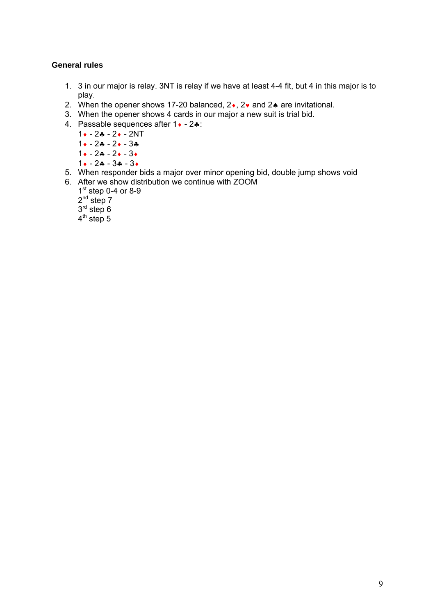- 1. 3 in our major is relay. 3NT is relay if we have at least 4-4 fit, but 4 in this major is to play.
- 2. When the opener shows 17-20 balanced,  $2 \cdot$ ,  $2 \cdot$  and  $2 \cdot$  are invitational.
- 3. When the opener shows 4 cards in our major a new suit is trial bid.
- 4. Passable sequences after  $1 \cdot -2 \cdot$ :
	- $1 \cdot -2 \cdot -2 \cdot -2NT$
	- $1 \cdot -2 \cdot -2 \cdot -3 \cdot$
	- $1 \cdot -2 \cdot -3 \cdot$
	- $1 \cdot -2 \cdot -3 \cdot -3 \cdot$
- 5. When responder bids a major over minor opening bid, double jump shows void 6. After we show distribution we continue with ZOOM
	- $1<sup>st</sup>$  step 0-4 or 8-9
		- $2^{nd}$  step  $7$
		- $3<sup>rd</sup>$  step 6
		- $4<sup>th</sup>$  step 5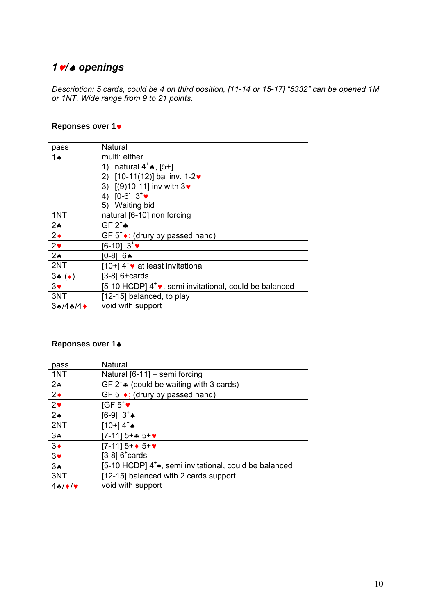## *1/ openings*

*Description: 5 cards, could be 4 on third position, [11-14 or 15-17] "5332" can be opened 1M or 1NT. Wide range from 9 to 21 points.* 

#### **Reponses over 1**

| pass          | Natural                                                            |
|---------------|--------------------------------------------------------------------|
| 1ѧ            | multi: either                                                      |
|               | 1) natural $4^+ \spadesuit$ , [5+]                                 |
|               | 2) $[10-11(12)]$ bal inv. 1-2 $\bullet$                            |
|               | 3) $[(9)10-11]$ inv with $3\vee$                                   |
|               | 4) [0-6], $3^{\circ}$                                              |
|               | <b>Waiting bid</b><br>5)                                           |
| 1NT           | natural [6-10] non forcing                                         |
| $2+$          | GF $2^*$                                                           |
| $2\bullet$    | GF $5^{\circ}$ ; (drury by passed hand)                            |
| $2\bullet$    | $[6-10]$ 3 <sup>+</sup>                                            |
| $2\spadesuit$ | $[0-8] 6$                                                          |
| 2NT           | [10+] 4 <sup>+</sup> v at least invitational                       |
| $3-(\bullet)$ | $[3-8]$ 6+cards                                                    |
| $3\vee$       | [5-10 HCDP] 4 <sup>+</sup> v, semi invitational, could be balanced |
| 3NT           | [12-15] balanced, to play                                          |
| 3A/4A/4       | void with support                                                  |

### **Reponses over 1**

| pass          | Natural                                                                       |
|---------------|-------------------------------------------------------------------------------|
| 1NT           | Natural [6-11] - semi forcing                                                 |
| $2+$          | GF $2^+$ (could be waiting with 3 cards)                                      |
| $2\bullet$    | GF $5^{\dagger}$ (drury by passed hand)                                       |
| $2\bullet$    | $IGF 5^{\dagger}$                                                             |
| $2\spadesuit$ | $[6-9]$ $3^*$                                                                 |
| 2NT           | $[10+14^*$                                                                    |
| $3 -$         | $[7-11]$ 5+* 5+ $\bullet$                                                     |
| $3\bullet$    | $[7-11] 5+$ + 5+ $\bullet$                                                    |
| $3\bullet$    | [ $3-8$ ] $6^{\circ}$ cards                                                   |
| 3A            | [5-10 HCDP] 4 <sup>+</sup> $\triangle$ , semi invitational, could be balanced |
| 3NT           | [12-15] balanced with 2 cards support                                         |
| 44/4          | void with support                                                             |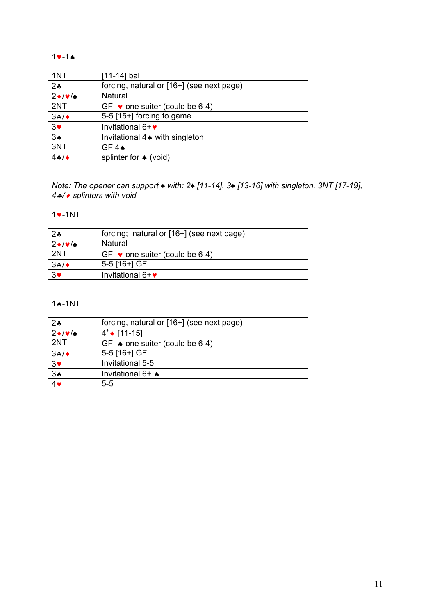#### $1 - 1$

| 1NT                 | [11-14] bal                               |
|---------------------|-------------------------------------------|
| 24                  | forcing, natural or [16+] (see next page) |
| $2 \cdot 1 \cdot 1$ | Natural                                   |
| 2NT                 | GF $\bullet$ one suiter (could be 6-4)    |
| 34/                 | 5-5 [15+] forcing to game                 |
| 3 <sub>v</sub>      | Invitational 6+ $\bullet$                 |
| 3A                  | Invitational 4. with singleton            |
| 3NT                 | GF 4A                                     |
| $4 - 4$             | splinter for $\triangle$ (void)           |

*Note: The opener can support ♠ with: 2♠ [11-14], 3♠ [13-16] with singleton, 3NT [17-19], / splinters with void* 

#### $\bullet$ -1NT

| $2*$                   | forcing; natural or [16+] (see next page) |
|------------------------|-------------------------------------------|
| $2 \cdot  \mathbf{v} $ | Natural                                   |
| 2NT                    | GF $\bullet$ one suiter (could be 6-4)    |
| 34/                    | 5-5 [16+] GF                              |
| $3\bullet$             | Invitational $6 + \bullet$                |

#### <sup> $\bullet$ </sup>-1NT

| $2$ ÷                  | forcing, natural or [16+] (see next page) |
|------------------------|-------------------------------------------|
| $2 \cdot  \mathbf{v} $ | $4^{\dagger}$ [11-15]                     |
| 2NT                    | GF $\bullet$ one suiter (could be 6-4)    |
| 34/                    | 5-5 [16+] GF                              |
| 3 <sub>v</sub>         | Invitational 5-5                          |
| $\frac{34}{4}$         | Invitational 6+ <                         |
|                        | $5 - 5$                                   |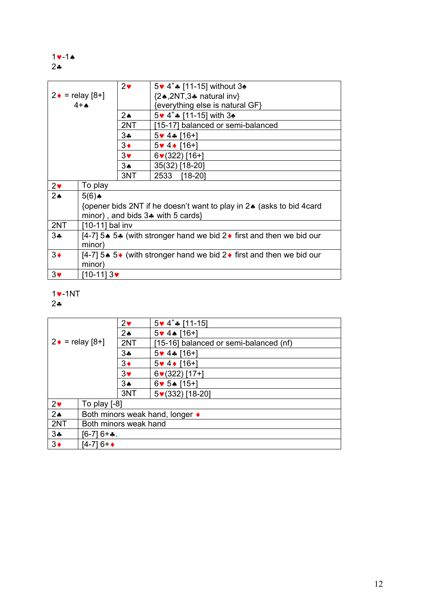$$
\begin{array}{c}\n1 \vee -1 \wedge \\
2 \wedge \\
\end{array}
$$

|                        |                                                                                       | $2\bullet$ | 5 v 4 <sup>+</sup> ↑ [11-15] without 3 <sup>★</sup>                  |  |  |  |  |
|------------------------|---------------------------------------------------------------------------------------|------------|----------------------------------------------------------------------|--|--|--|--|
| $2 \cdot =$ relay [8+] |                                                                                       |            | ${2 \cdot 2NT, 3 \cdot 2NT}$ natural inv                             |  |  |  |  |
|                        | $4+A$                                                                                 |            | {everything else is natural GF}                                      |  |  |  |  |
|                        |                                                                                       | $2\star$   | $5 \cdot 4^*$ [11-15] with 3 $\bullet$                               |  |  |  |  |
|                        |                                                                                       | 2NT        | [15-17] balanced or semi-balanced                                    |  |  |  |  |
|                        |                                                                                       | 3*         | $5 \vee 4 \triangle 16 +$                                            |  |  |  |  |
|                        |                                                                                       | $3\bullet$ | $5 \vee 4 \vee 16 +$                                                 |  |  |  |  |
|                        |                                                                                       | $3\bullet$ | $6(322)$ [16+]                                                       |  |  |  |  |
|                        |                                                                                       | $3*$       | 35(32) [18-20]                                                       |  |  |  |  |
|                        |                                                                                       | 3NT        | 2533<br>$[18-20]$                                                    |  |  |  |  |
| $2\bullet$             | To play                                                                               |            |                                                                      |  |  |  |  |
| 2 <sub>•</sub>         | $5(6)$ $\triangle$                                                                    |            |                                                                      |  |  |  |  |
|                        |                                                                                       |            | {opener bids 2NT if he doesn't want to play in 2♦ (asks to bid 4card |  |  |  |  |
|                        |                                                                                       |            | minor), and bids $3$ with 5 cards $\}$                               |  |  |  |  |
| 2NT                    | [10-11] bal inv                                                                       |            |                                                                      |  |  |  |  |
| $3\clubsuit$           | [4-7] 5. 5. (with stronger hand we bid 2. first and then we bid our                   |            |                                                                      |  |  |  |  |
| minor)                 |                                                                                       |            |                                                                      |  |  |  |  |
| $3\bullet$             | [4-7] 5. 5 $\bullet$ (with stronger hand we bid 2 $\bullet$ first and then we bid our |            |                                                                      |  |  |  |  |
|                        | minor)                                                                                |            |                                                                      |  |  |  |  |
| $3\bullet$             | [10-11] 3♥                                                                            |            |                                                                      |  |  |  |  |

### $1$  $\bullet$ -1NT

 $2$ \*

| $2\bullet$<br>2 $\bullet$ |                                               |              | $5 \times 4^*$ [11-15]                 |  |
|---------------------------|-----------------------------------------------|--------------|----------------------------------------|--|
|                           |                                               |              | 5♥ 4♦ [16+]                            |  |
|                           | $2 \cdot =$ relay [8+]                        | 2NT          | [15-16] balanced or semi-balanced (nf) |  |
|                           |                                               | $3\clubsuit$ | $5 \vee 4 \cdot 16 + 1$                |  |
|                           |                                               | $3\bullet$   | $5 \vee 4 \vee 16 + 1$                 |  |
|                           |                                               | $3\bullet$   | $6(322)$ [17+]                         |  |
|                           |                                               | 3∌           | $6 \times 5 \cdot 15 +$                |  |
|                           |                                               | 3NT          | 5♥(332) [18-20]                        |  |
| $2\bullet$                | To play [-8]                                  |              |                                        |  |
| 2 <sub>•</sub>            | Both minors weak hand, longer $\triangleleft$ |              |                                        |  |
| 2NT                       | Both minors weak hand                         |              |                                        |  |
| 3 <sub>•</sub>            | [6-7] 6+ <b>∻</b> .                           |              |                                        |  |
| $3\bullet$<br>[4-7] 6+◆   |                                               |              |                                        |  |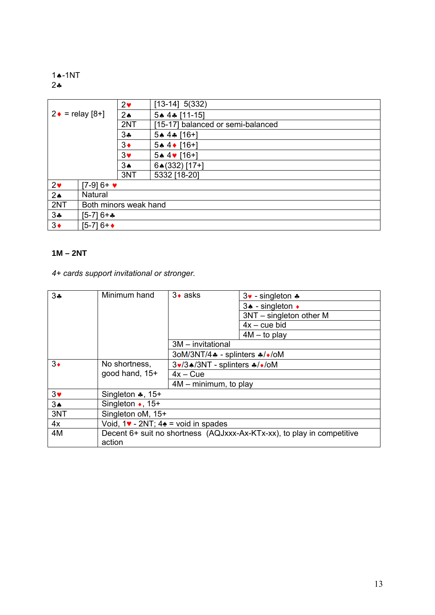1**4-1NT**  $2 - 2$ 

| $2\bullet$<br>$2 \cdot =$ relay [8+]<br>$2\spadesuit$<br>2NT |                  |               | $[13-14]$ 5(332)                  |  |  |
|--------------------------------------------------------------|------------------|---------------|-----------------------------------|--|--|
|                                                              |                  |               | 5+4+ [11-15]                      |  |  |
|                                                              |                  |               | [15-17] balanced or semi-balanced |  |  |
|                                                              |                  | $3\cdot$      | $5*4*$ [16+]                      |  |  |
|                                                              |                  | $3\bullet$    | 5↑ 4↑ [16+]                       |  |  |
| $3\bullet$                                                   |                  |               | 5▲ 4♥ [16+]                       |  |  |
|                                                              |                  | $3\spadesuit$ | 64(332) [17+]                     |  |  |
|                                                              |                  | 3NT           | 5332 [18-20]                      |  |  |
| 2 <sub>v</sub>                                               | $[7-9]6+$ $\vee$ |               |                                   |  |  |
| 2 <sub>•</sub>                                               | Natural          |               |                                   |  |  |
| 2NT<br>Both minors weak hand                                 |                  |               |                                   |  |  |
| 3 <sub>•</sub><br>$[5-7]6 +$                                 |                  |               |                                   |  |  |
| $3\bullet$                                                   | [5-7] 6+◆        |               |                                   |  |  |

#### **1M – 2NT**

## *4+ cards support invitational or stronger.*

| 34                    | Minimum hand                | $3 \cdot$ asks                                                         | $3\cdot$ - singleton $\cdot$                                           |  |  |
|-----------------------|-----------------------------|------------------------------------------------------------------------|------------------------------------------------------------------------|--|--|
|                       |                             |                                                                        | 3↑ - singleton ◆                                                       |  |  |
|                       |                             |                                                                        | $3NT - singleton other M$                                              |  |  |
|                       |                             |                                                                        | $4x - cue bid$                                                         |  |  |
|                       |                             |                                                                        | $4M - to play$                                                         |  |  |
|                       |                             | 3M - invitational                                                      |                                                                        |  |  |
|                       |                             | 3oM/3NT/4. - splinters */*/oM                                          |                                                                        |  |  |
| $3\bullet$            | No shortness,               | 3v/3▲/3NT - splinters */*/oM                                           |                                                                        |  |  |
|                       | good hand, 15+              | $4x - Cue$                                                             |                                                                        |  |  |
|                       |                             | $4M - minimum$ , to play                                               |                                                                        |  |  |
| $3\blacktriangledown$ | Singleton $\clubsuit$ , 15+ |                                                                        |                                                                        |  |  |
| 3 <sub>•</sub>        | Singleton $\bullet$ , 15+   |                                                                        |                                                                        |  |  |
| 3NT                   | Singleton oM, 15+           |                                                                        |                                                                        |  |  |
| 4x                    |                             | Void, $1\blacktriangleright$ - 2NT; $4\blacktriangle$ = void in spades |                                                                        |  |  |
| 4M                    | action                      |                                                                        | Decent 6+ suit no shortness (AQJxxx-Ax-KTx-xx), to play in competitive |  |  |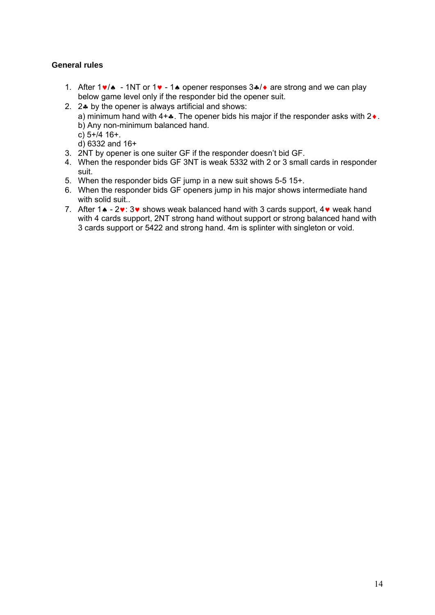- 1. After  $1\vee\wedge$  1NT or  $1\vee$  1. opener responses  $3\cdot\vee$  are strong and we can play below game level only if the responder bid the opener suit.
- 2.  $2$  by the opener is always artificial and shows: a) minimum hand with  $4+\bullet$ . The opener bids his major if the responder asks with  $2\bullet$ . b) Any non-minimum balanced hand. c) 5+/4 16+. d) 6332 and 16+
- 3. 2NT by opener is one suiter GF if the responder doesn't bid GF.
- 4. When the responder bids GF 3NT is weak 5332 with 2 or 3 small cards in responder suit.
- 5. When the responder bids GF jump in a new suit shows 5-5 15+.
- 6. When the responder bids GF openers jump in his major shows intermediate hand with solid suit.
- 7. After  $1\spadesuit$   $2\mathbf{v}$ :  $3\mathbf{v}$  shows weak balanced hand with 3 cards support,  $4\mathbf{v}$  weak hand with 4 cards support, 2NT strong hand without support or strong balanced hand with 3 cards support or 5422 and strong hand. 4m is splinter with singleton or void.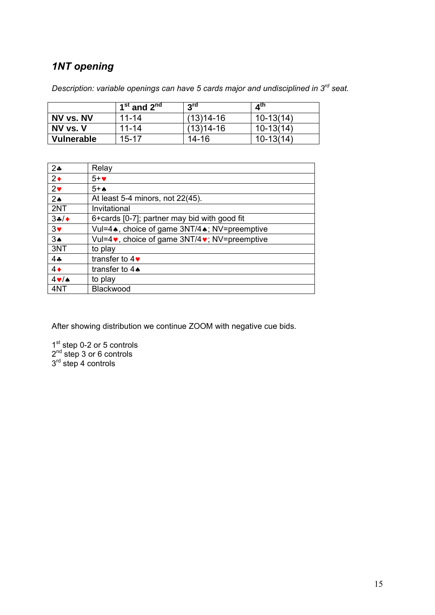## *1NT opening*

*Description: variable openings can have 5 cards major and undisciplined in 3rd seat.* 

|            | $1st$ and $2nd$ | 3 <sup>rd</sup> | $A^{\text{tn}}$ |
|------------|-----------------|-----------------|-----------------|
| NV vs. NV  | 11-14           | (13)14-16       | $10-13(14)$     |
| NV vs. V   | $11 - 14$       | (13)14-16       | $10-13(14)$     |
| Vulnerable | 15-17           | 14-16           | $10 - 13(14)$   |

| $2*$              | Relay                                                            |
|-------------------|------------------------------------------------------------------|
| $2\bullet$        | $5+$                                                             |
| $2\bullet$        | $5+A$                                                            |
| 2 <sub>•</sub>    | At least 5-4 minors, not 22(45).                                 |
| 2NT               | Invitational                                                     |
| 34/               | 6+ cards [0-7]; partner may bid with good fit                    |
| $3\bullet$        | Vul=4, choice of game 3NT/4, NV=preemptive                       |
| $3\spadesuit$     | Vul=4 $\bullet$ , choice of game 3NT/4 $\bullet$ ; NV=preemptive |
| 3NT               | to play                                                          |
| 44                | transfer to $4\blacktriangleright$                               |
| $4\bullet$        | transfer to $4\spadesuit$                                        |
| $4 \vee$ $\wedge$ | to play                                                          |
| 4NT               | Blackwood                                                        |

After showing distribution we continue ZOOM with negative cue bids.

1<sup>st</sup> step 0-2 or 5 controls 2<sup>nd</sup> step 3 or 6 controls 3<sup>rd</sup> step 4 controls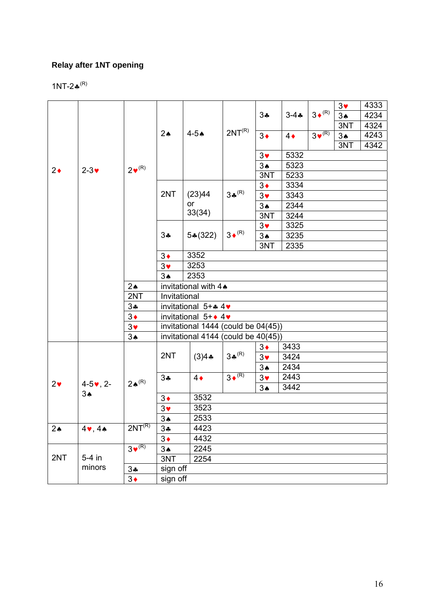## **Relay after 1NT opening**

1NT-2 $\clubsuit^{(R)}$ 

|               |                     |                       |                        |                                     |                        | 34                    |            | $3 \cdot (R)$ | $3\blacktriangledown$ | 4333 |
|---------------|---------------------|-----------------------|------------------------|-------------------------------------|------------------------|-----------------------|------------|---------------|-----------------------|------|
|               |                     |                       |                        |                                     |                        |                       | $3 - 4 -$  |               | 3A                    | 4234 |
|               |                     |                       |                        |                                     |                        |                       |            |               | 3NT                   | 4324 |
|               |                     |                       | $2\spadesuit$          | $4-5$ $\bullet$                     | 2NT <sup>(R)</sup>     | $3\bullet$            | $4\bullet$ | $3\sqrt{R}$   | 3A                    | 4243 |
|               |                     |                       |                        |                                     |                        |                       |            |               | 3NT                   | 4342 |
|               |                     |                       |                        |                                     |                        | $3\blacktriangledown$ | 5332       |               |                       |      |
| $2\bullet$    | $2-3$               | $2^{\bullet(R)}$      |                        |                                     |                        | 3A                    | 5323       |               |                       |      |
|               |                     |                       |                        |                                     |                        | 3NT                   | 5233       |               |                       |      |
|               |                     |                       |                        |                                     |                        | $3\bullet$            | 3334       |               |                       |      |
|               |                     |                       | 2NT                    | (23)44                              | $3*^{(R)}$             | $3\bullet$            | 3343       |               |                       |      |
|               |                     |                       |                        | or                                  |                        | 3A                    | 2344       |               |                       |      |
|               |                     |                       |                        | 33(34)                              |                        | 3NT                   | 3244       |               |                       |      |
|               |                     |                       |                        |                                     |                        | $3\blacktriangledown$ | 3325       |               |                       |      |
|               |                     |                       | $3\clubsuit$           | $5*(322)$                           | $3 \cdot (R)$          | 3A                    | 3235       |               |                       |      |
|               |                     |                       |                        |                                     |                        | 3NT                   | 2335       |               |                       |      |
|               |                     |                       | $3\bullet$             | 3352                                |                        |                       |            |               |                       |      |
|               |                     |                       | $3\blacktriangledown$  | 3253                                |                        |                       |            |               |                       |      |
|               |                     |                       | 3A                     | 2353                                |                        |                       |            |               |                       |      |
|               |                     | $2\spadesuit$         | invitational with 4.   |                                     |                        |                       |            |               |                       |      |
|               |                     | 2NT                   | Invitational           |                                     |                        |                       |            |               |                       |      |
|               |                     | $3\clubsuit$          | invitational $5 + 4$ 4 |                                     |                        |                       |            |               |                       |      |
|               |                     | $3\bullet$            |                        | invitational $5 + 4$                |                        |                       |            |               |                       |      |
|               |                     | $3\blacktriangledown$ |                        | invitational 1444 (could be 04(45)) |                        |                       |            |               |                       |      |
|               |                     | 3 <sub>•</sub>        |                        | invitational 4144 (could be 40(45)) |                        |                       |            |               |                       |      |
|               |                     |                       |                        |                                     |                        | $3\bullet$            | 3433       |               |                       |      |
|               |                     | $2 \spadesuit^{(R)}$  | 2NT                    | $(3)4$ $\clubsuit$                  | $3*^{(R)}$             | $3\blacktriangledown$ | 3424       |               |                       |      |
|               |                     |                       |                        |                                     |                        | 3A                    | 2434       |               |                       |      |
|               |                     |                       | $3\clubsuit$           | $4\bullet$                          | $3 \sqrt{\frac{R}{R}}$ | $3\blacktriangledown$ | 2443       |               |                       |      |
| $2\bullet$    | $4 - 5$ , $2 -$     |                       |                        |                                     |                        | 3A                    | 3442       |               |                       |      |
|               | 3A                  |                       | $3\bullet$             | 3532                                |                        |                       |            |               |                       |      |
|               |                     |                       | $3\blacktriangledown$  | 3523                                |                        |                       |            |               |                       |      |
|               |                     |                       | 3A                     | 2533                                |                        |                       |            |               |                       |      |
| $2\spadesuit$ | $4$ , $4$ $\bullet$ | 2NT <sup>(R)</sup>    | $3*$                   | 4423                                |                        |                       |            |               |                       |      |
|               |                     |                       | $3\bullet$             | 4432                                |                        |                       |            |               |                       |      |
|               |                     | $3\bullet^{(R)}$      | 3A                     | 2245                                |                        |                       |            |               |                       |      |
| 2NT           | $5-4$ in            |                       | 3NT                    | 2254                                |                        |                       |            |               |                       |      |
|               | minors              | 34                    | sign off               |                                     |                        |                       |            |               |                       |      |
|               |                     | $3\bullet$            | sign off               |                                     |                        |                       |            |               |                       |      |
|               |                     |                       |                        |                                     |                        |                       |            |               |                       |      |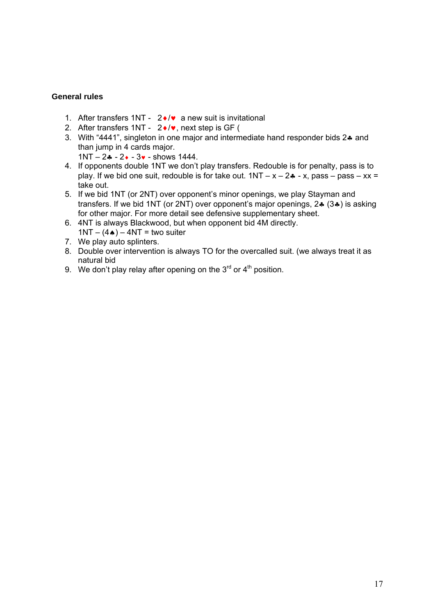- 1. After transfers 1NT  $2\cdot/\mathbf{v}$  a new suit is invitational
- 2. After transfers 1NT  $2 \cdot / \cdot$ , next step is GF (
- 3. With "4441", singleton in one major and intermediate hand responder bids 2. and than jump in 4 cards major.
	- $1NT 2 - 3$   $3$  shows 1444.
- 4. If opponents double 1NT we don't play transfers. Redouble is for penalty, pass is to play. If we bid one suit, redouble is for take out.  $1NT - x - 2$  - x, pass – pass – xx = take out.
- 5. If we bid 1NT (or 2NT) over opponent's minor openings, we play Stayman and transfers. If we bid 1NT (or 2NT) over opponent's major openings,  $2 \div (3 \div)$  is asking for other major. For more detail see defensive supplementary sheet.
- 6. 4NT is always Blackwood, but when opponent bid 4M directly.  $1NT - (4*) - 4NT =$  two suiter
- 7. We play auto splinters.
- 8. Double over intervention is always TO for the overcalled suit. (we always treat it as natural bid
- 9. We don't play relay after opening on the  $3<sup>rd</sup>$  or  $4<sup>th</sup>$  position.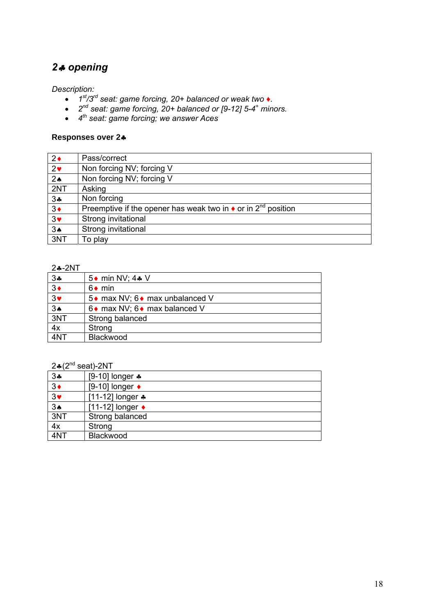## *2 opening*

*Description:* 

- *1st/3rd seat: game forcing, 20+ balanced or weak two ♦.*
- *2nd seat: game forcing, 20+ balanced or [9-12] 5-4+ minors.*
- *4th seat: game forcing; we answer Aces*

#### **Responses over 2**

| $2\bullet$     | Pass/correct                                                                      |
|----------------|-----------------------------------------------------------------------------------|
| 2 <sub>v</sub> | Non forcing NV; forcing V                                                         |
| 2 <sub>•</sub> | Non forcing NV; forcing V                                                         |
| 2NT            | Asking                                                                            |
| 34             | Non forcing                                                                       |
| $3\bullet$     | Preemptive if the opener has weak two in $\bullet$ or in 2 <sup>nd</sup> position |
| $3\bullet$     | Strong invitational                                                               |
| 3A             | Strong invitational                                                               |
| 3NT            | To play                                                                           |

#### 2**4-2NT**

| 34                  | 5 ♦ min NV; 4 ♦ V                |
|---------------------|----------------------------------|
| $\overline{3}$      | $6 \bullet \text{min}$           |
| $3*$                | 5 • max NV; 6 • max unbalanced V |
| $\overline{3\cdot}$ | 6 • max NV; 6 • max balanced V   |
| 3NT                 | Strong balanced                  |
| 4x                  | Strong                           |
| 4NT                 | Blackwood                        |

### $2*(2^{nd}$  seat)-2NT

| $L =  L $    | 56017211                   |
|--------------|----------------------------|
| $3\clubsuit$ | [9-10] longer $\clubsuit$  |
| $3\bullet$   | [9-10] longer $\bullet$    |
| $3*$         | [11-12] longer $\clubsuit$ |
| 3A           | [11-12] longer ◆           |
| 3NT          | Strong balanced            |
| 4x           | Strong                     |
| 4NT          | Blackwood                  |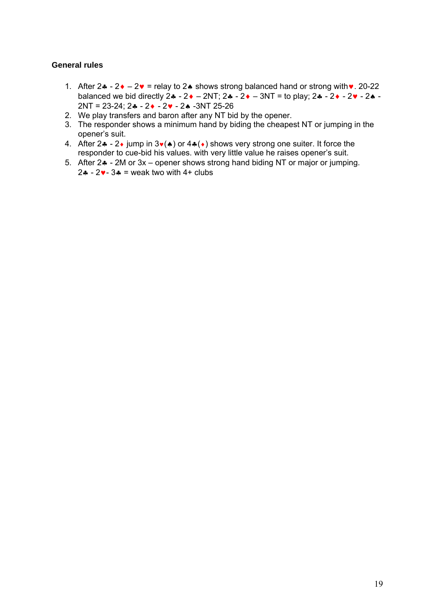- 1. After  $2 \cdot 2 \cdot 2 \cdot =$  relay to  $2 \cdot$  shows strong balanced hand or strong with  $\cdot$  20-22 balanced we bid directly 2 - 2 – 2NT; 2 - 2 – 3NT = to play; 2 - 2 - 2 - 2 -  $2NT = 23-24$ ;  $2 - 2 \cdot -2 \cdot -2 \cdot -3NT$  25-26
- 2. We play transfers and baron after any NT bid by the opener.
- 3. The responder shows a minimum hand by biding the cheapest NT or jumping in the opener's suit.
- 4. After  $2 \cdot -2 \cdot j$ ump in  $3 \cdot (*)$  or  $4 \cdot (*)$  shows very strong one suiter. It force the responder to cue-bid his values. with very little value he raises opener's suit.
- 5. After  $2\clubsuit$  2M or  $3x$  opener shows strong hand biding NT or major or jumping.  $2 \cdot - 2 \cdot - 3 \cdot =$  weak two with 4+ clubs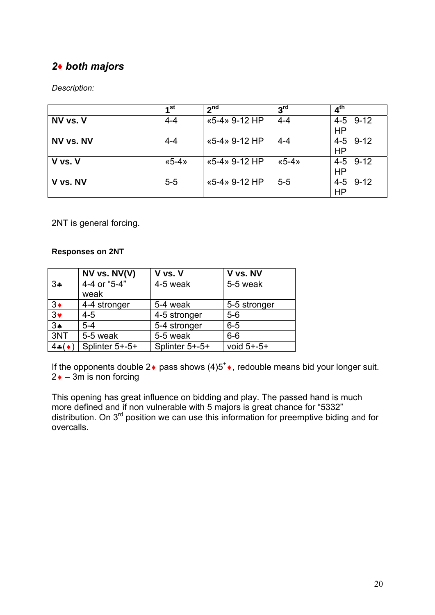## *2♦ both majors*

### *Description:*

|           | 1 <sup>st</sup> | 2 <sup>nd</sup> | 3 <sup>rd</sup> | 4 <sup>th</sup>       |
|-----------|-----------------|-----------------|-----------------|-----------------------|
| NV vs. V  | $4 - 4$         | «5-4» 9-12 HP   | $4 - 4$         | 4-5 9-12<br>HP        |
| NV vs. NV | $4 - 4$         | «5-4» 9-12 HP   | $4 - 4$         | 4-5 9-12<br><b>HP</b> |
| V vs. V   | $\&5-4\%$       | «5-4» 9-12 HP   | $\& 5-4 \times$ | 4-5 9-12<br>HP        |
| V vs. NV  | $5-5$           | «5-4» 9-12 HP   | $5-5$           | 4-5 9-12<br><b>HP</b> |

2NT is general forcing.

#### **Responses on 2NT**

|                | NV vs. NV(V)         | V vs. V        | V vs. NV        |
|----------------|----------------------|----------------|-----------------|
| 34             | 4-4 or "5-4"<br>weak | 4-5 weak       | 5-5 weak        |
|                |                      |                |                 |
| $3\bullet$     | 4-4 stronger         | 5-4 weak       | 5-5 stronger    |
| $\overline{3}$ | $4 - 5$              | 4-5 stronger   | $5-6$           |
| 3 <sub>•</sub> | $5 - 4$              | 5-4 stronger   | $6-5$           |
| 3NT            | 5-5 weak             | 5-5 weak       | $6-6$           |
| $4*(\bullet)$  | Splinter 5+-5+       | Splinter 5+-5+ | void $5 + -5 +$ |

If the opponents double 2  $\bullet$  pass shows (4)5<sup>+</sup> $\bullet$ , redouble means bid your longer suit.  $2 \cdot -3m$  is non forcing

This opening has great influence on bidding and play. The passed hand is much more defined and if non vulnerable with 5 majors is great chance for "5332" distribution. On  $3<sup>rd</sup>$  position we can use this information for preemptive biding and for overcalls.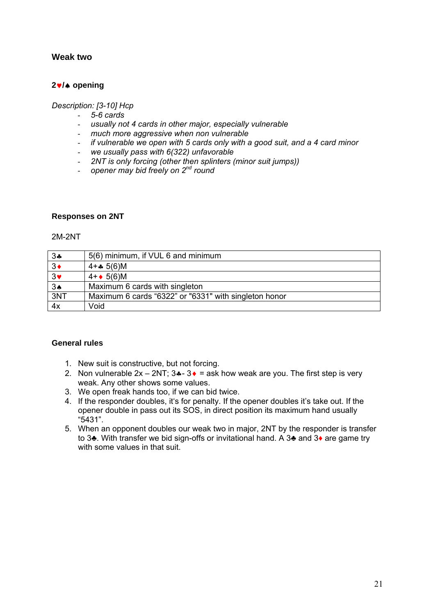#### **Weak two**

#### **2/ opening**

#### *Description: [3-10] Hcp*

- *5-6 cards*
- *usually not 4 cards in other major, especially vulnerable*
- *much more aggressive when non vulnerable*
- *if vulnerable we open with 5 cards only with a good suit, and a 4 card minor*
- *we usually pass with 6(322) unfavorable*
- *2NT is only forcing (other then splinters (minor suit jumps))*
- *opener may bid freely on 2nd round*

#### **Responses on 2NT**

#### 2M-2NT

| $3\clubsuit$   | 5(6) minimum, if VUL 6 and minimum                    |
|----------------|-------------------------------------------------------|
| $3\bullet$     | 4+ $\clubsuit$ 5(6)M                                  |
| 3 <sub>v</sub> | $4 + 5(6)M$                                           |
| $3*$           | Maximum 6 cards with singleton                        |
| 3NT            | Maximum 6 cards "6322" or "6331" with singleton honor |
| 4x             | Void                                                  |

- 1. New suit is constructive, but not forcing.
- 2. Non vulnerable  $2x 2NT$ ;  $3 \cdot 3 \cdot 3 = 3k$  how weak are you. The first step is very weak. Any other shows some values.
- 3. We open freak hands too, if we can bid twice.
- 4. If the responder doubles, it's for penalty. If the opener doubles it's take out. If the opener double in pass out its SOS, in direct position its maximum hand usually "5431".
- 5. When an opponent doubles our weak two in major, 2NT by the responder is transfer to 3♣. With transfer we bid sign-offs or invitational hand. A 3♣ and 3♦ are game try with some values in that suit.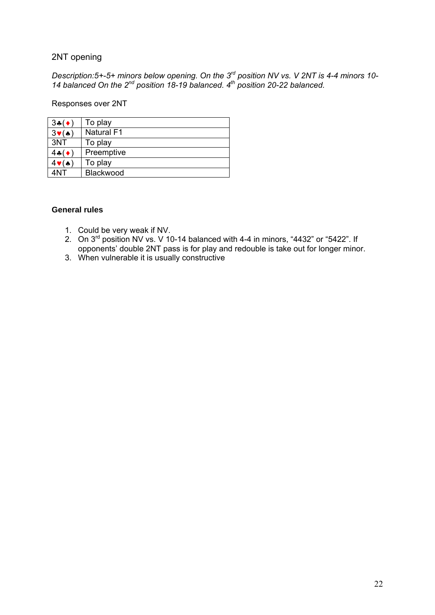### 2NT opening

*Description:5+-5+ minors below opening. On the 3rd position NV vs. V 2NT is 4-4 minors 10- 14 balanced On the 2nd position 18-19 balanced. 4th position 20-22 balanced.* 

Responses over 2NT

| $3*(\bullet)$          | To play           |
|------------------------|-------------------|
| $3\ntriangleright$ (A) | <b>Natural F1</b> |
| 3NT                    | To play           |
| $4-(\bullet)$          | Preemptive        |
| $4$ v $(A)$            | To play           |
| 4NT                    | Blackwood         |

- 1. Could be very weak if NV.
- 2. On 3rd position NV vs. V 10-14 balanced with 4-4 in minors, "4432" or "5422". If opponents' double 2NT pass is for play and redouble is take out for longer minor.
- 3. When vulnerable it is usually constructive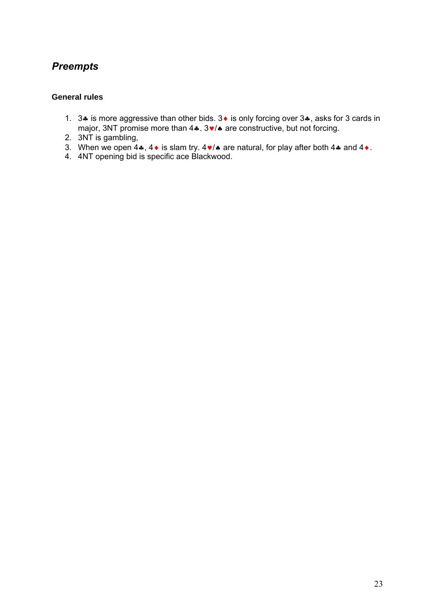## *Preempts*

- 1. 3.4 is more aggressive than other bids. 3. is only forcing over 3.4, asks for 3 cards in major, 3NT promise more than  $4 \cdot .3 \cdot / \cdot$  are constructive, but not forcing.
- 2. 3NT is gambling,
- 3. When we open 4 $\clubsuit$ , 4 $\bullet$  is slam try. 4 $\blacktriangledown$  are natural, for play after both 4 $\clubsuit$  and 4 $\bullet$ .
- 4. 4NT opening bid is specific ace Blackwood.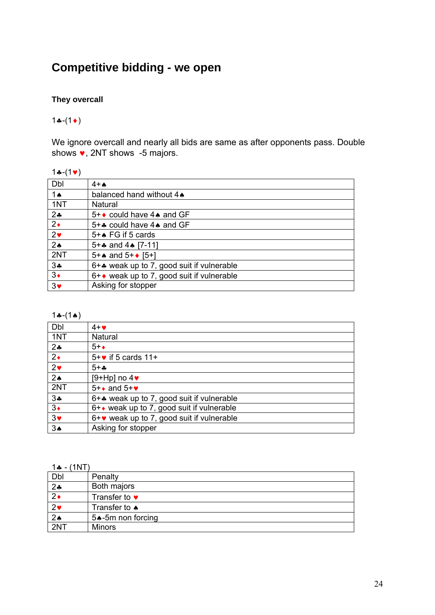# **Competitive bidding - we open**

### **They overcall**

### $1 - (1)$

We ignore overcall and nearly all bids are same as after opponents pass. Double shows  $\bullet$ , 2NT shows -5 majors.

#### $1 - (1)$

| $4+A$                                               |
|-----------------------------------------------------|
| balanced hand without 4.                            |
| Natural                                             |
| $5 + \bullet$ could have 4 $\bullet$ and GF         |
| 5+ $\clubsuit$ could have 4 $\spadesuit$ and GF     |
| $5 + \spadesuit$ FG if 5 cards                      |
| 5+ $\clubsuit$ and 4 $\spadesuit$ [7-11]            |
| 5+ $\star$ and 5+ $\star$ [5+]                      |
| $6 +$ weak up to 7, good suit if vulnerable         |
| $6 + \bullet$ weak up to 7, good suit if vulnerable |
| Asking for stopper                                  |
|                                                     |

#### $1 - (1)$

| Dbl            | $4 + \bullet$                                 |
|----------------|-----------------------------------------------|
| 1NT            | Natural                                       |
| 24             | $5 + \bullet$                                 |
| $2\bullet$     | $5 + \bullet$ if 5 cards 11+                  |
| $2\bullet$     | $5 + .$                                       |
| 2 <sub>•</sub> | [9+Hp] no $4\blacktriangleright$              |
| 2NT            | $5 + \bullet$ and $5 + \bullet$               |
| 34             | 6+* weak up to 7, good suit if vulnerable     |
| $3\bullet$     | 6+ • weak up to 7, good suit if vulnerable    |
| $3\bullet$     | $6 + v$ weak up to 7, good suit if vulnerable |
| 3A             | Asking for stopper                            |

#### $1 - (1NT)$

| 1922 - LIIVII         |                       |
|-----------------------|-----------------------|
| Dbl                   | Penalty               |
| 24                    | Both majors           |
| $\overline{2\bullet}$ | Transfer to $\bullet$ |
| 2 <sub>v</sub>        | Transfer to $\bullet$ |
| $\overline{2\cdot}$   | 5. 5m non forcing     |
| 2NT                   | <b>Minors</b>         |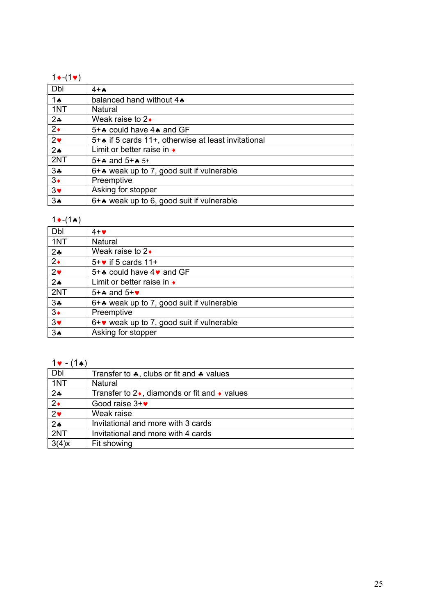#### $1 \cdot (1 \cdot)$

| Dbl            | $4+A$                                                        |
|----------------|--------------------------------------------------------------|
| <b>1 A</b>     | balanced hand without 4.                                     |
| 1NT            | Natural                                                      |
| 24             | Weak raise to $2\bullet$                                     |
| $2\bullet$     | 5+* could have 4* and GF                                     |
| $2\bullet$     | 5+ $\bullet$ if 5 cards 11+, otherwise at least invitational |
| 2 <sub>•</sub> | Limit or better raise in $\bullet$                           |
| 2NT            | $5 +$ and $5 +$ $\bullet$ $5 +$                              |
| $3\clubsuit$   | 6+* weak up to 7, good suit if vulnerable                    |
| $3\bullet$     | Preemptive                                                   |
| $3\bullet$     | Asking for stopper                                           |
| $3*$           | 6+* weak up to 6, good suit if vulnerable                    |

### $1 \cdot (1 \cdot)$

| Dbl            | $4 + \bullet$                                       |
|----------------|-----------------------------------------------------|
| 1NT            | Natural                                             |
| $2*$           | Weak raise to $2\bullet$                            |
| $2\bullet$     | $5 + \bullet$ if 5 cards 11+                        |
| $2\bullet$     | 5+ $\clubsuit$ could have 4 $\triangledown$ and GF  |
| 2 <sub>•</sub> | Limit or better raise in $\bullet$                  |
| 2NT            | 5+ $\clubsuit$ and 5+ $\triangledown$               |
| 34             | $6 +$ weak up to 7, good suit if vulnerable         |
| $3\bullet$     | Preemptive                                          |
| $3\bullet$     | $6 + \bullet$ weak up to 7, good suit if vulnerable |
| 3A             | Asking for stopper                                  |

### $1 \cdot (1)$

| Dbl                   | Transfer to $\clubsuit$ , clubs or fit and $\clubsuit$ values |
|-----------------------|---------------------------------------------------------------|
| 1NT                   | Natural                                                       |
| 24                    | Transfer to $2\bullet$ , diamonds or fit and $\bullet$ values |
| $\overline{2\bullet}$ | Good raise $3+\mathbf{v}$                                     |
| 2 <sub>v</sub>        | Weak raise                                                    |
| $\overline{2\cdot}$   | Invitational and more with 3 cards                            |
| 2NT                   | Invitational and more with 4 cards                            |
| $3(4)$ x              | Fit showing                                                   |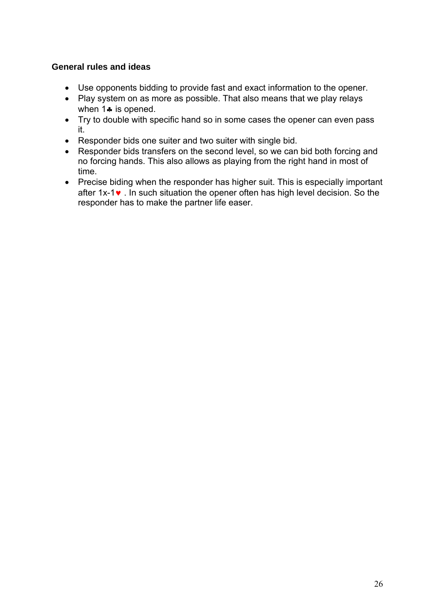### **General rules and ideas**

- Use opponents bidding to provide fast and exact information to the opener.
- Play system on as more as possible. That also means that we play relays when  $1$  is opened.
- Try to double with specific hand so in some cases the opener can even pass it.
- Responder bids one suiter and two suiter with single bid.
- Responder bids transfers on the second level, so we can bid both forcing and no forcing hands. This also allows as playing from the right hand in most of time.
- Precise biding when the responder has higher suit. This is especially important after  $1x-1$ . In such situation the opener often has high level decision. So the responder has to make the partner life easer.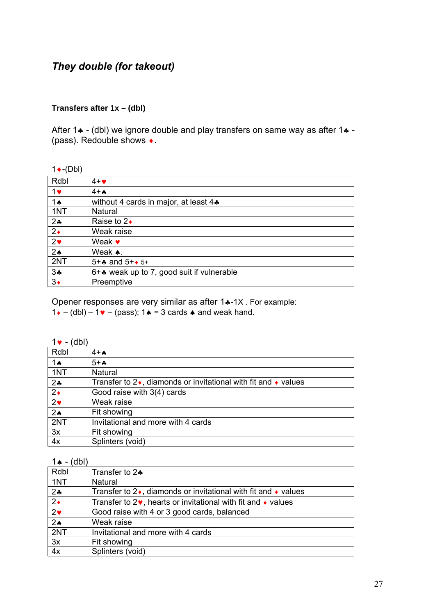## *They double (for takeout)*

#### **Transfers after 1x – (dbl)**

After 1 $\cdot$  - (dbl) we ignore double and play transfers on same way as after 1 $\cdot$  -(pass). Redouble shows .

#### $1 \cdot (-Db)$

| Rdbl           | $4 + \bullet$                             |
|----------------|-------------------------------------------|
| $1$ v          | $4+A$                                     |
| 1 $\triangle$  | without 4 cards in major, at least 4.     |
| 1NT            | Natural                                   |
| $2 - 2$        | Raise to $2\bullet$                       |
| $2\bullet$     | Weak raise                                |
| 2 <sub>v</sub> | Weak $\bullet$                            |
| 2 <sub>•</sub> | Weak $\clubsuit$ .                        |
| 2NT            | $5 +$ and $5 +$ + $5 +$                   |
| $3\clubsuit$   | 6+* weak up to 7, good suit if vulnerable |
| $3\bullet$     | Preemptive                                |

Opener responses are very similar as after 1 $\ast$ -1X. For example:

 $1 \cdot - (db) - 1 \cdot - (pass)$ ;  $1 \cdot = 3$  cards  $\cdot$  and weak hand.

| ı |  |
|---|--|
|---|--|

| Rdbl                | $4+A$                                                                           |
|---------------------|---------------------------------------------------------------------------------|
| 1 $\triangle$       | $5 + .$                                                                         |
| 1NT                 | Natural                                                                         |
| $2+$                | Transfer to $2\bullet$ , diamonds or invitational with fit and $\bullet$ values |
| $\overline{2\cdot}$ | Good raise with 3(4) cards                                                      |
| 2 <sub>v</sub>      | Weak raise                                                                      |
| 2 <sub>•</sub>      | Fit showing                                                                     |
| 2NT                 | Invitational and more with 4 cards                                              |
| 3x                  | Fit showing                                                                     |
| 4x                  | Splinters (void)                                                                |

#### $1 \triangle - (dbl)$

| $\sim$<br>---  |                                                                                 |
|----------------|---------------------------------------------------------------------------------|
| Rdbl           | Transfer to $2\clubsuit$                                                        |
| 1NT            | Natural                                                                         |
| $2+$           | Transfer to $2\bullet$ , diamonds or invitational with fit and $\bullet$ values |
| $2\bullet$     | Transfer to $2\bullet$ , hearts or invitational with fit and $\bullet$ values   |
| $2\bullet$     | Good raise with 4 or 3 good cards, balanced                                     |
| 2 <sub>•</sub> | Weak raise                                                                      |
| 2NT            | Invitational and more with 4 cards                                              |
| 3x             | Fit showing                                                                     |
| 4x             | Splinters (void)                                                                |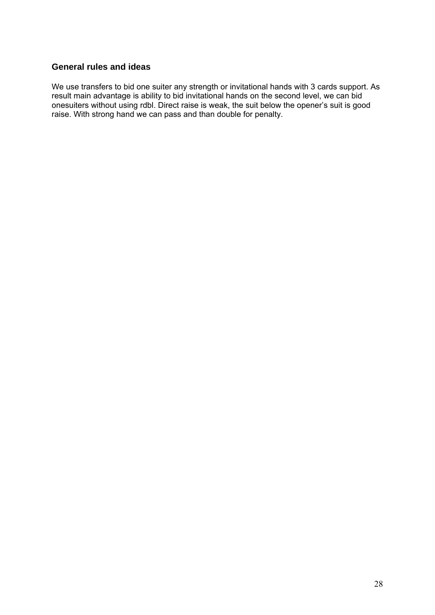#### **General rules and ideas**

We use transfers to bid one suiter any strength or invitational hands with 3 cards support. As result main advantage is ability to bid invitational hands on the second level, we can bid onesuiters without using rdbl. Direct raise is weak, the suit below the opener's suit is good raise. With strong hand we can pass and than double for penalty.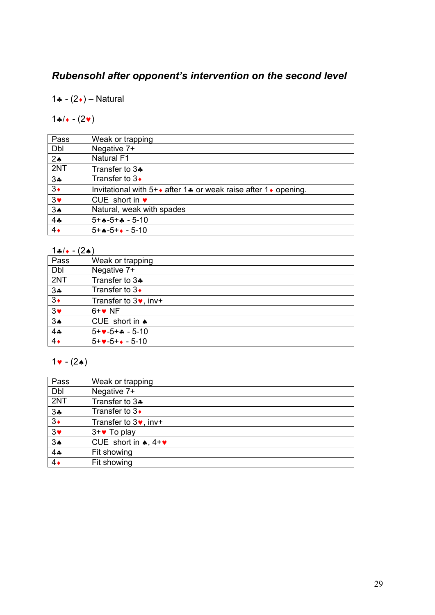# *Rubensohl after opponent's intervention on the second level*

1 $\cdot$  - (2 $\cdot$ ) – Natural

## $14/(-2)$

| Pass           | Weak or trapping                                                                           |
|----------------|--------------------------------------------------------------------------------------------|
| Dbl            | Negative 7+                                                                                |
| 2 <sub>•</sub> | <b>Natural F1</b>                                                                          |
| 2NT            | Transfer to 3.                                                                             |
| 3 <sub>•</sub> | Transfer to $3\bullet$                                                                     |
| $3\bullet$     | Invitational with $5 + \bullet$ after 1 $\bullet$ or weak raise after 1 $\bullet$ opening. |
| $3+$           | CUE short in $\bullet$                                                                     |
| 3A             | Natural, weak with spades                                                                  |
| 4.4            | $5 + 0.5 + 0.5 - 10$                                                                       |
| $\overline{4}$ | $5 + 0.5 + 0.5 - 10$                                                                       |

 $1a/( - (2a))$ 

| $\sim$<br>$\sim$ $\sim$ |                               |
|-------------------------|-------------------------------|
| Pass                    | Weak or trapping              |
| Dbl                     | Negative 7+                   |
| 2NT                     | Transfer to 3+                |
| 34                      | Transfer to $3\bullet$        |
| $3\bullet$              | Transfer to $3\bullet$ , inv+ |
| $3*$                    | $6 + \bullet$ NF              |
| 3 <sub>•</sub>          | CUE short in $\triangle$      |
| 4.4                     | $5 + 4 - 5 + 4 - 5 - 10$      |
| $4\bullet$              | $5 + 4 - 5 + 4 - 5 - 10$      |

## $1 \cdot (2)$

| Pass           | Weak or trapping                  |
|----------------|-----------------------------------|
| Dbl            | Negative 7+                       |
| 2NT            | Transfer to 3.                    |
| $3 -$          | Transfer to $3\bullet$            |
| $3\bullet$     | Transfer to $3\bullet$ , inv+     |
| 3 <sub>•</sub> | $3 + \bullet$ To play             |
| 3 <sub>•</sub> | CUE short in $\star$ , 4+ $\star$ |
| 44             | Fit showing                       |
| $4\bullet$     | Fit showing                       |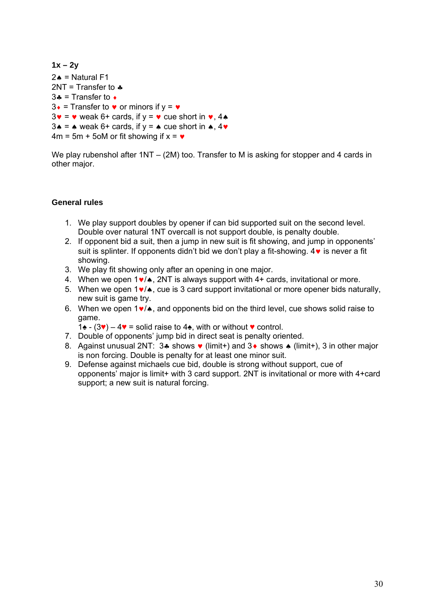```
1x – 2y 
2 \triangle = Natural F1
2NT = Transfer to.
3 - 1 = Transfer to \bullet3\cdot = Transfer to \cdot or minors if y = \cdot3\mathbf{v} = \mathbf{v} weak 6+ cards, if \mathbf{v} = \mathbf{v} cue short in \mathbf{v}, 4\mathbf{v}3 \cdot = \cdot weak 6+ cards, if y = \cdot cue short in \cdot, 4\cdot4m = 5m + 5m or fit showing if x = \bullet
```
We play rubenshol after 1NT – (2M) too. Transfer to M is asking for stopper and 4 cards in other major.

- 1. We play support doubles by opener if can bid supported suit on the second level. Double over natural 1NT overcall is not support double, is penalty double.
- 2. If opponent bid a suit, then a jump in new suit is fit showing, and jump in opponents' suit is splinter. If opponents didn't bid we don't play a fit-showing.  $4\vee$  is never a fit showing.
- 3. We play fit showing only after an opening in one major.
- 4. When we open  $1\vee\wedge$ , 2NT is always support with 4+ cards, invitational or more.
- 5. When we open  $1\vee\wedge$ , cue is 3 card support invitational or more opener bids naturally, new suit is game try.
- 6. When we open  $1\vee\wedge$ , and opponents bid on the third level, cue shows solid raise to game.
	- 1 $\bullet$  (3♥) 4♥ = solid raise to 4 $\bullet$ , with or without ♥ control.
- 7. Double of opponents' jump bid in direct seat is penalty oriented.
- 8. Against unusual 2NT: 3. shows  $\bullet$  (limit+) and 3. shows  $\bullet$  (limit+), 3 in other major is non forcing. Double is penalty for at least one minor suit.
- 9. Defense against michaels cue bid, double is strong without support, cue of opponents' major is limit+ with 3 card support. 2NT is invitational or more with 4+card support; a new suit is natural forcing.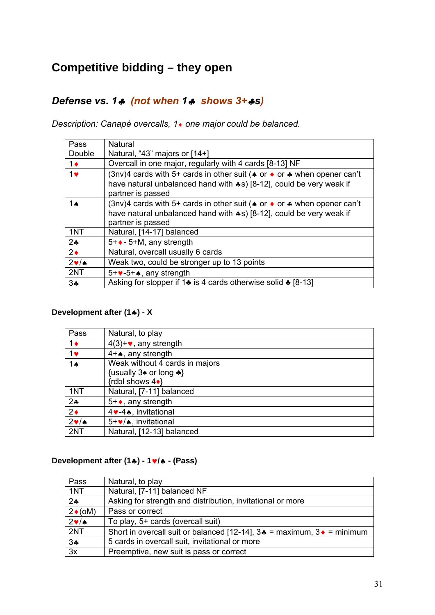# **Competitive bidding – they open**

## *Defense vs. 1 (not when 1 shows 3+s)*

*Description: Canapé overcalls, 1 one major could be balanced.* 

| Pass          | Natural                                                                                                                                                                                                 |
|---------------|---------------------------------------------------------------------------------------------------------------------------------------------------------------------------------------------------------|
| Double        | Natural, "43" majors or [14+]                                                                                                                                                                           |
| $1\bullet$    | Overcall in one major, regularly with 4 cards [8-13] NF                                                                                                                                                 |
| $1$ v         | (3nv)4 cards with 5+ cards in other suit ( $\bullet$ or $\bullet$ or $\bullet$ when opener can't<br>have natural unbalanced hand with $\clubsuit$ s) [8-12], could be very weak if<br>partner is passed |
| 1 $\triangle$ | (3nv)4 cards with 5+ cards in other suit ( $\bullet$ or $\bullet$ or $\bullet$ when opener can't<br>have natural unbalanced hand with $\clubsuit$ s) [8-12], could be very weak if<br>partner is passed |
| 1NT           | Natural, [14-17] balanced                                                                                                                                                                               |
| $2 -$         | $5 + \bullet$ - 5+M, any strength                                                                                                                                                                       |
| $2\bullet$    | Natural, overcall usually 6 cards                                                                                                                                                                       |
| 2v/A          | Weak two, could be stronger up to 13 points                                                                                                                                                             |
| 2NT           | $5 + \bullet - 5 + \bullet$ , any strength                                                                                                                                                              |
| $3\clubsuit$  | Asking for stopper if 1 $\bullet$ is 4 cards otherwise solid $\bullet$ [8-13]                                                                                                                           |

### **Development after (1) - X**

| Pass           | Natural, to play                                           |
|----------------|------------------------------------------------------------|
| $1\bullet$     | $4(3)+\bullet$ , any strength                              |
| 1 <sub>v</sub> | $4 + \spadesuit$ , any strength                            |
| 1 $\triangle$  | Weak without 4 cards in majors                             |
|                | {usually $3\triangle$ or long $\triangle$ }                |
|                | {rdbl shows $4\bullet$ }                                   |
| 1NT            | Natural, [7-11] balanced                                   |
| 24             | $5 + \bullet$ , any strength                               |
| $2\bullet$     | 4 v-4 ★, invitational                                      |
| $2 \cdot 4$    | 5+ $\blacktriangleright$ / $\blacktriangle$ , invitational |
| 2NT            | Natural, [12-13] balanced                                  |

### **Development after (1) - 1/ - (Pass)**

| Pass            | Natural, to play                                                           |
|-----------------|----------------------------------------------------------------------------|
| 1NT             | Natural, [7-11] balanced NF                                                |
| $2 - 2$         | Asking for strength and distribution, invitational or more                 |
| $2\bullet$ (oM) | Pass or correct                                                            |
| $2 \cdot 4$     | To play, 5+ cards (overcall suit)                                          |
| 2NT             | Short in overcall suit or balanced [12-14], $3* =$ maximum, $3* =$ minimum |
| 34              | 5 cards in overcall suit, invitational or more                             |
| 3x              | Preemptive, new suit is pass or correct                                    |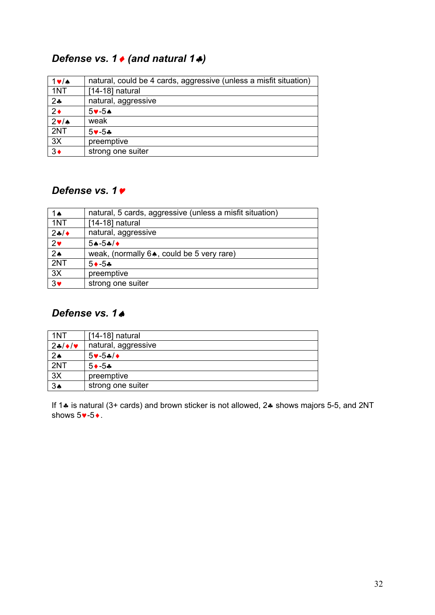## *Defense vs. 1 ♦ (and natural 1*  $\clubsuit$ *)*

| $1 \vee$ /A                      | natural, could be 4 cards, aggressive (unless a misfit situation) |
|----------------------------------|-------------------------------------------------------------------|
| 1NT                              | $[14-18]$ natural                                                 |
| $2*$                             | natural, aggressive                                               |
| $2\bullet$                       | $5 - 5$                                                           |
| $2\ntriangleright$ / $\triangle$ | weak                                                              |
| 2NT                              | $5 - 5$ *                                                         |
| 3X                               | preemptive                                                        |
| $\overline{3}$                   | strong one suiter                                                 |

## *Defense vs. 1*

| 1 4                 | natural, 5 cards, aggressive (unless a misfit situation) |
|---------------------|----------------------------------------------------------|
| 1NT                 | $[14-18]$ natural                                        |
| 24/                 | natural, aggressive                                      |
| $2\bullet$          | $5A-5A/4$                                                |
| $\overline{2\cdot}$ | weak, (normally 6., could be 5 very rare)                |
| 2NT                 | $5 \rightarrow -5 \rightarrow$                           |
| 3X                  | preemptive                                               |
| $\frac{1}{3}$       | strong one suiter                                        |

## *Defense vs. 1*

| 1NT            | [14-18] natural                |
|----------------|--------------------------------|
| $24/\sqrt{v}$  | natural, aggressive            |
| 2 <sub>•</sub> | $5 \vee -5 \cdot 4$            |
| 2NT            | $5 \rightarrow -5 \rightarrow$ |
| 3X             | preemptive                     |
| 3A             | strong one suiter              |

If 1. is natural (3+ cards) and brown sticker is not allowed, 2. shows majors 5-5, and 2NT shows  $5 \vee -5 \vee$ .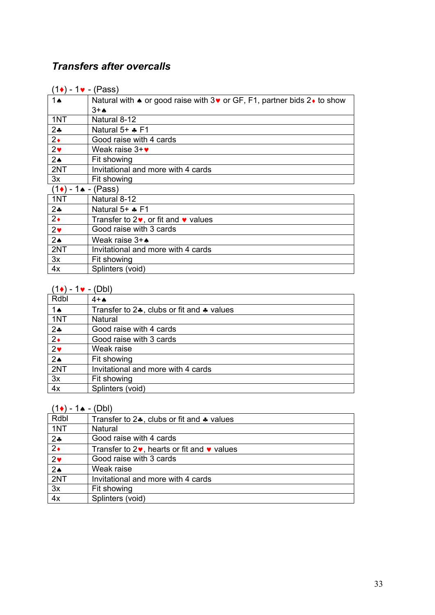# *Transfers after overcalls*

| (1♦) - 1♥ - (Pass)               |                                                                                                             |
|----------------------------------|-------------------------------------------------------------------------------------------------------------|
| 1ѧ                               | Natural with $\triangle$ or good raise with 3 $\triangledown$ or GF, F1, partner bids 2 $\triangle$ to show |
|                                  | $3+A$                                                                                                       |
| 1NT                              | Natural 8-12                                                                                                |
| $2 - 1$                          | Natural $5+$ $\clubsuit$ F1                                                                                 |
| $2\bullet$                       | Good raise with 4 cards                                                                                     |
| $2\bullet$                       | Weak raise $3+\vee$                                                                                         |
| $2\spadesuit$                    | Fit showing                                                                                                 |
| 2NT                              | Invitational and more with 4 cards                                                                          |
| 3x                               | Fit showing                                                                                                 |
| $(1\bullet) - 1\bullet - (Pass)$ |                                                                                                             |
| 1NT                              | Natural 8-12                                                                                                |
| $2 -$                            | Natural 5+ * F1                                                                                             |
| $2\bullet$                       | Transfer to $2\bullet$ , or fit and $\bullet$ values                                                        |
| $2\bullet$                       | Good raise with 3 cards                                                                                     |
| $2\spadesuit$                    | Weak raise $3 + \spadesuit$                                                                                 |
| 2NT                              | Invitational and more with 4 cards                                                                          |
| 3x                               | Fit showing                                                                                                 |
| 4x                               | Splinters (void)                                                                                            |

### $(1\bullet) - 1\bullet - (Db)$

| Rdbl                | $4+A$                                                          |
|---------------------|----------------------------------------------------------------|
| 1 $\triangle$       | Transfer to $2\clubsuit$ , clubs or fit and $\clubsuit$ values |
| 1NT                 | Natural                                                        |
| $2+$                | Good raise with 4 cards                                        |
| $\overline{2\cdot}$ | Good raise with 3 cards                                        |
| 2 <sub>v</sub>      | Weak raise                                                     |
| $\overline{2\cdot}$ | Fit showing                                                    |
| 2NT                 | Invitational and more with 4 cards                             |
| 3x                  | Fit showing                                                    |
| 4x                  | Splinters (void)                                               |

## $(1\bullet) - 1\bullet - (Db)$

| $\blacksquare$ |                                                                |
|----------------|----------------------------------------------------------------|
| Rdbl           | Transfer to $2\clubsuit$ , clubs or fit and $\clubsuit$ values |
| 1NT            | Natural                                                        |
| $2*$           | Good raise with 4 cards                                        |
| $2\bullet$     | Transfer to $2\vee$ , hearts or fit and $\vee$ values          |
| $2\bullet$     | Good raise with 3 cards                                        |
| 2 <sub>0</sub> | Weak raise                                                     |
| 2NT            | Invitational and more with 4 cards                             |
| 3x             | Fit showing                                                    |
| 4x             | Splinters (void)                                               |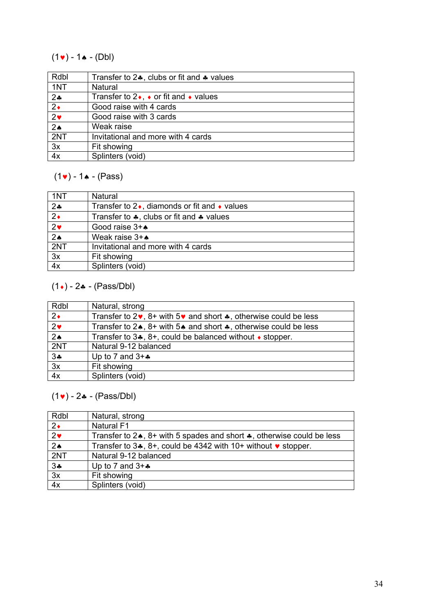## $(1 \cdot ) - 1 \cdot (-1)$

| Rdbl                | Transfer to $2\clubsuit$ , clubs or fit and $\clubsuit$ values |
|---------------------|----------------------------------------------------------------|
| 1NT                 | Natural                                                        |
| $2+$                | Transfer to $2\bullet$ , $\bullet$ or fit and $\bullet$ values |
| $\overline{2\cdot}$ | Good raise with 4 cards                                        |
| 2 <sub>v</sub>      | Good raise with 3 cards                                        |
| $2*$                | Weak raise                                                     |
| 2NT                 | Invitational and more with 4 cards                             |
| 3x                  | Fit showing                                                    |
| 4x                  | Splinters (void)                                               |

## $(1 \cdot ) - 1 \cdot (-$  (Pass)

| 1NT                   | Natural                                                       |  |
|-----------------------|---------------------------------------------------------------|--|
| $2+$                  | Transfer to $2\bullet$ , diamonds or fit and $\bullet$ values |  |
| $\overline{2\cdot}$   | Transfer to $\clubsuit$ , clubs or fit and $\clubsuit$ values |  |
| $\overline{2\bullet}$ | Good raise $3 + \spadesuit$                                   |  |
| $\overline{2\cdot}$   | Weak raise $3 + \spadesuit$                                   |  |
| 2NT                   | Invitational and more with 4 cards                            |  |
| 3x                    | Fit showing                                                   |  |
| 4x                    | Splinters (void)                                              |  |

## $(1\cdot) - 2\cdot - (Pass/Dbl)$

| Rdbl                  | Natural, strong                                                                               |
|-----------------------|-----------------------------------------------------------------------------------------------|
| $2\bullet$            | Transfer to $2\vee$ , $8+$ with $5\vee$ and short $\clubsuit$ , otherwise could be less       |
| $\overline{2\bullet}$ | Transfer to $2\bullet$ , $8+$ with $5\bullet$ and short $\clubsuit$ , otherwise could be less |
| 2 <sub>o</sub>        | Transfer to $3\clubsuit$ , $8+$ , could be balanced without $\bullet$ stopper.                |
| 2NT                   | Natural 9-12 balanced                                                                         |
| 34                    | Up to 7 and $3+x$                                                                             |
| $\overline{3x}$       | Fit showing                                                                                   |
| 4x                    | Splinters (void)                                                                              |

## $(1 \cdot ) - 2 \cdot - (Pass/Db)$

| Rdbl            | Natural, strong                                                                           |
|-----------------|-------------------------------------------------------------------------------------------|
| $2\bullet$      | <b>Natural F1</b>                                                                         |
| 2 <sub>v</sub>  | Transfer to $2\bullet$ , $8+$ with 5 spades and short $\bullet$ , otherwise could be less |
| 2 <sub>o</sub>  | Transfer to $3\clubsuit$ , $8+$ , could be 4342 with 10+ without $\triangledown$ stopper. |
| 2NT             | Natural 9-12 balanced                                                                     |
| 34              | Up to 7 and $3 + 4$                                                                       |
| $\overline{3x}$ | Fit showing                                                                               |
| 4x              | Splinters (void)                                                                          |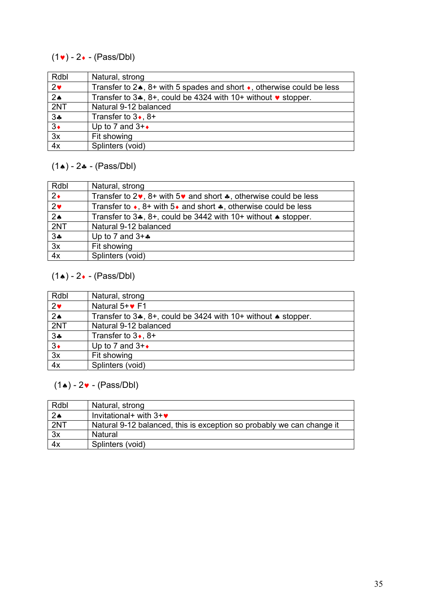## $(1\bullet) - 2\bullet - (Pass/Db)$

| Rdbl            | Natural, strong                                                                           |  |  |
|-----------------|-------------------------------------------------------------------------------------------|--|--|
| $2\bullet$      | Transfer to $2\star$ , $8+$ with 5 spades and short $\star$ , otherwise could be less     |  |  |
| $2\spadesuit$   | Transfer to $3\clubsuit$ , $8+$ , could be 4324 with 10+ without $\triangledown$ stopper. |  |  |
| 2NT             | Natural 9-12 balanced                                                                     |  |  |
| 34              | Transfer to $3\bullet$ , $8+$                                                             |  |  |
| $3\bullet$      | Up to 7 and $3 + \bullet$                                                                 |  |  |
| $\overline{3x}$ | Fit showing                                                                               |  |  |
| 4x              | Splinters (void)                                                                          |  |  |

## $(1\bullet) - 2\bullet - (Pass/Db)$

| Rdbl                  | Natural, strong                                                                             |  |  |
|-----------------------|---------------------------------------------------------------------------------------------|--|--|
| $\overline{2\bullet}$ | Transfer to $2\vee$ , $8+$ with $5\vee$ and short $\clubsuit$ , otherwise could be less     |  |  |
| $2\bullet$            | Transfer to $\bullet$ , 8+ with 5 $\bullet$ and short $\clubsuit$ , otherwise could be less |  |  |
| 2 <sub>o</sub>        | Transfer to $3\clubsuit$ , $8+$ , could be $3442$ with $10+$ without $\spadesuit$ stopper.  |  |  |
| 2NT                   | Natural 9-12 balanced                                                                       |  |  |
| 34                    | Up to 7 and $3 + \bullet$                                                                   |  |  |
| 3x                    | Fit showing                                                                                 |  |  |
| 4x                    | Splinters (void)                                                                            |  |  |

# $(1\bullet) - 2\bullet - (Pass/Db)$

| Rdbl                | Natural, strong                                                                        |
|---------------------|----------------------------------------------------------------------------------------|
| $2\bullet$          | Natural $5 + \bullet F1$                                                               |
| $\overline{2\cdot}$ | Transfer to $3\clubsuit$ , $8+$ , could be 3424 with 10+ without $\spadesuit$ stopper. |
| 2NT                 | Natural 9-12 balanced                                                                  |
| $3*$                | Transfer to $3\bullet$ , $8+$                                                          |
| $3\bullet$          | Up to 7 and $3 + \bullet$                                                              |
| $\frac{1}{3x}$      | Fit showing                                                                            |
| 4x                  | Splinters (void)                                                                       |

## $(1\bullet) - 2\bullet - (Pass/Db)$

| Rdbl            | Natural, strong                                                       |
|-----------------|-----------------------------------------------------------------------|
| $2\spadesuit$   | Invitational+ with $3+\bullet$                                        |
| 2NT             | Natural 9-12 balanced, this is exception so probably we can change it |
| $\overline{3x}$ | Natural                                                               |
| 4x              | Splinters (void)                                                      |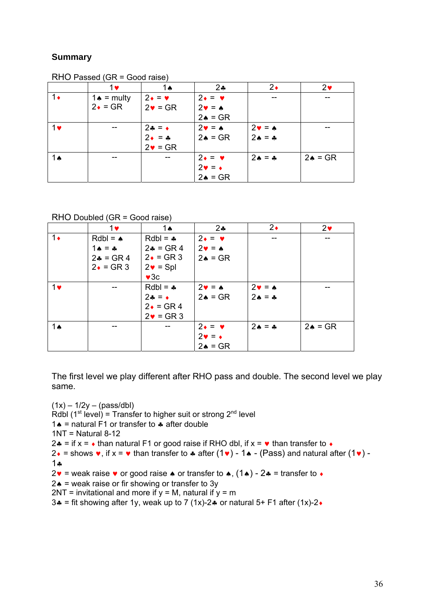#### **Summary**

|               | 1♥                    | 1ѧ                      | $2\clubsuit$               | $2\bullet$                 | $2\bullet$         |
|---------------|-----------------------|-------------------------|----------------------------|----------------------------|--------------------|
|               |                       |                         |                            |                            |                    |
| $1\bullet$    | $1 \triangle$ = multy | $2 \cdot = \cdot$       | $2 \cdot = \cdot$          |                            |                    |
|               | $2 \cdot = \text{GR}$ | $2\bullet = \text{GR}$  | $2\mathbf{v} = \mathbf{A}$ |                            |                    |
|               |                       |                         | $2 \triangle = GR$         |                            |                    |
| $1$ v         |                       | $24 = 1$                | $2\mathbf{v} = \mathbf{A}$ | $2\mathbf{v} = \mathbf{A}$ |                    |
|               |                       | $2 \bullet = \clubsuit$ | $2 \triangle = GR$         | $2 \triangle = 4$          |                    |
|               |                       | $2\bullet = \text{GR}$  |                            |                            |                    |
| 1 $\triangle$ | --                    | $-$                     | $2 \cdot = \cdot$          | $2A = A$                   | $2 \triangle = GR$ |
|               |                       |                         | $2\mathbf{v} = \mathbf{v}$ |                            |                    |
|               |                       |                         | $2 \triangle = GR$         |                            |                    |

RHO Passed (GR = Good raise)

#### RHO Doubled (GR = Good raise)

|               | $1$ v                    | 1 $\triangle$            | 2 <sub>•</sub>             | $2\bullet$                 | 2 <sub>v</sub>     |
|---------------|--------------------------|--------------------------|----------------------------|----------------------------|--------------------|
| $1\bullet$    | $Rdbl = \spadesuit$      | $Rdbl =$                 | $2 \cdot = \cdot$          |                            |                    |
|               | $1 \bullet = \bullet$    | $2 - 5R$                 | $2\mathbf{v} = \mathbf{A}$ |                            |                    |
|               | $2 - 5R$                 | $2 \cdot = \text{GR } 3$ | $2 \triangle = GR$         |                            |                    |
|               | $2 \cdot = \text{GR } 3$ | $2\bullet$ = Spl         |                            |                            |                    |
|               |                          | $\blacktriangledown$ 30  |                            |                            |                    |
| $1$ v         |                          | $Rdbl = -$               | $2\mathbf{v} = \mathbf{A}$ | $2\mathbf{v} = \mathbf{A}$ |                    |
|               |                          | $2\bullet = \bullet$     | $2 \triangle = GR$         | $2A = A$                   |                    |
|               |                          | $2 \cdot = \text{GR } 4$ |                            |                            |                    |
|               |                          | $2\bullet$ = GR 3        |                            |                            |                    |
| 1 $\triangle$ | --                       |                          | $2 \cdot = \cdot$          | $2A = A$                   | $2 \triangle = GR$ |
|               |                          |                          | $2\mathbf{v} = \mathbf{v}$ |                            |                    |
|               |                          |                          | $2 \triangle = GR$         |                            |                    |

The first level we play different after RHO pass and double. The second level we play same.

 $(1x) - 1/2y - (pass/dbl)$ Rdbl  $(1^{st}$  level) = Transfer to higher suit or strong  $2^{nd}$  level 1. = natural F1 or transfer to  $\ast$  after double  $1NT = Natural 8-12$ 2.4 = if  $x = \cdot$  than natural F1 or good raise if RHO dbl, if  $x = \cdot$  than transfer to  $\cdot$  $2\bullet$  = shows  $\bullet$ , if  $x = \bullet$  than transfer to  $\bullet$  after (1 $\bullet$ ) - 1 $\bullet$  - (Pass) and natural after (1 $\bullet$ ) - $1.4$  $2 \cdot \cdot$  = weak raise  $\cdot$  or good raise  $\cdot$  or transfer to  $\cdot$ ,  $(1 \cdot ) - 2 \cdot =$  transfer to  $\cdot$  $2 \triangle$  = weak raise or fir showing or transfer to 3y  $2NT =$  invitational and more if  $y = M$ , natural if  $y = m$ 3. = fit showing after 1y, weak up to 7 (1x)-2. or natural 5+ F1 after (1x)-2.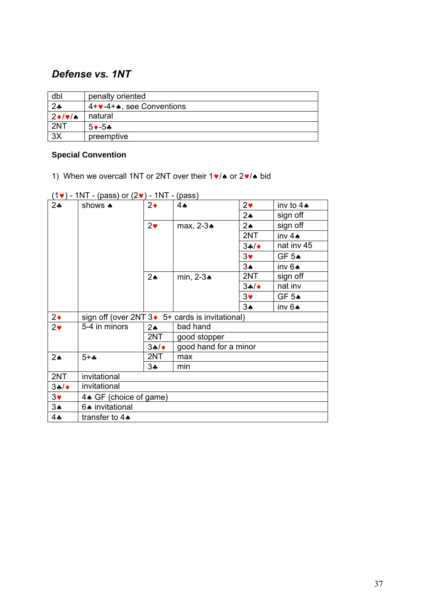## *Defense vs. 1NT*

| dbl                   | penalty oriented                     |  |
|-----------------------|--------------------------------------|--|
| $2*$                  | $4+\vee -4+\wedge$ , see Conventions |  |
| $2 \cdot \frac{1}{2}$ | natural                              |  |
| 2NT                   | $5 \rightarrow -5 \rightarrow$       |  |
| 3X                    | preemptive                           |  |

#### **Special Convention**

1) When we overcall 1NT or 2NT over their  $1 \cdot / \cdot$  or  $2 \cdot / \cdot$  bid

|               | $\mathbf{v}$              |                | $V^{222}$                                        |                       |                       |
|---------------|---------------------------|----------------|--------------------------------------------------|-----------------------|-----------------------|
| 24            | shows $\clubsuit$         | $2\bullet$     | 4A                                               | 2 <sub>v</sub>        | inv to $4 \spadesuit$ |
|               |                           |                |                                                  | 2 <sub>•</sub>        | sign off              |
|               |                           | 2 <sub>v</sub> | max, 2-3 <sup>*</sup>                            | $2\spadesuit$         | sign off              |
|               |                           |                |                                                  | 2NT                   | inv 4A                |
|               |                           |                |                                                  | 34/                   | nat inv 45            |
|               |                           |                |                                                  | $3\bullet$            | GF 5A                 |
|               |                           |                |                                                  | $3\spadesuit$         | inv 6A                |
|               |                           | 2 <sub>•</sub> | min, $2-3$ $\triangle$                           | 2NT                   | sign off              |
|               |                           |                |                                                  | 34/                   | nat inv               |
|               |                           |                |                                                  | $3\blacktriangledown$ | GF 5A                 |
|               |                           |                |                                                  | $3*$                  | inv 6A                |
| $2\bullet$    |                           |                | sign off (over 2NT 3 ♦ 5+ cards is invitational) |                       |                       |
| $2\bullet$    | 5-4 in minors             | $2\spadesuit$  | bad hand                                         |                       |                       |
|               |                           | 2NT            | good stopper                                     |                       |                       |
|               |                           | 34/            | good hand for a minor                            |                       |                       |
| $2\spadesuit$ | $5 + -$                   | 2NT            | max                                              |                       |                       |
|               |                           | 3∻             | min                                              |                       |                       |
| 2NT           | invitational              |                |                                                  |                       |                       |
| 34/           | invitational              |                |                                                  |                       |                       |
| $3\bullet$    | 4. GF (choice of game)    |                |                                                  |                       |                       |
| $3\spadesuit$ | 6. invitational           |                |                                                  |                       |                       |
| $4$ ÷         | transfer to $4\spadesuit$ |                |                                                  |                       |                       |

 $(1\vee)$  - 1NT - (pass) or  $(2\vee)$  - 1NT - (pass)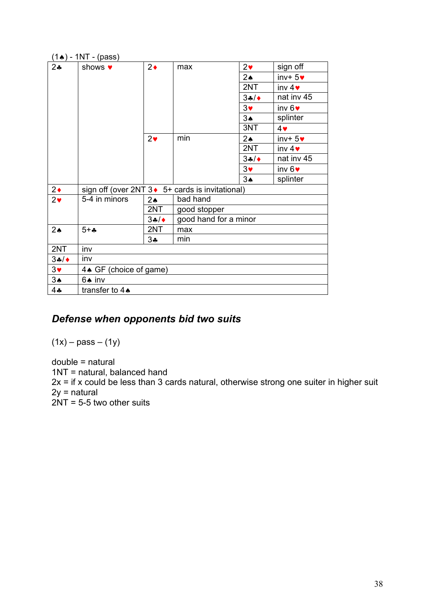| $(1\spadesuit)$ - 1NT - (pass) |                           |                |                                                  |               |                   |
|--------------------------------|---------------------------|----------------|--------------------------------------------------|---------------|-------------------|
| $2\cdot$                       | shows $\bullet$           | $2\bullet$     | max                                              | $2\bullet$    | sign off          |
|                                |                           |                |                                                  | $2\star$      | $inv+5v$          |
|                                |                           |                |                                                  | 2NT           | inv $4\bullet$    |
|                                |                           |                |                                                  | 34/           | nat inv 45        |
|                                |                           |                |                                                  | $3\bullet$    | inv $6$ $\bullet$ |
|                                |                           |                |                                                  | 3A            | splinter          |
|                                |                           |                |                                                  | 3NT           | $4\,$             |
|                                |                           | 2 <sub>v</sub> | min                                              | $2\spadesuit$ | $inv+5v$          |
|                                |                           |                |                                                  | 2NT           | inv $4\bullet$    |
|                                |                           |                |                                                  | 34/           | nat inv 45        |
|                                |                           |                |                                                  | $3\bullet$    | inv $6$ $\bullet$ |
|                                |                           |                |                                                  | $3*$          | splinter          |
| $2\bullet$                     |                           |                | sign off (over 2NT 3 ♦ 5+ cards is invitational) |               |                   |
| $2\bullet$                     | 5-4 in minors             | $2 \triangle$  | bad hand                                         |               |                   |
|                                |                           | 2NT            | good stopper                                     |               |                   |
|                                |                           | 34/            | good hand for a minor                            |               |                   |
| $2\spadesuit$                  | $5 + 4$                   | 2NT            | max                                              |               |                   |
|                                |                           | $3\clubsuit$   | min                                              |               |                   |
| 2NT                            | inv                       |                |                                                  |               |                   |
| 34/                            | inv                       |                |                                                  |               |                   |
| $3\blacktriangledown$          | 4. GF (choice of game)    |                |                                                  |               |                   |
| $3\spadesuit$                  | 6♠ inv                    |                |                                                  |               |                   |
| $4 -$                          | transfer to $4\spadesuit$ |                |                                                  |               |                   |

## *Defense when opponents bid two suits*

 $(1x) - pass - (1y)$ 

double = natural 1NT = natural, balanced hand  $2x =$  if x could be less than 3 cards natural, otherwise strong one suiter in higher suit 2y = natural 2NT = 5-5 two other suits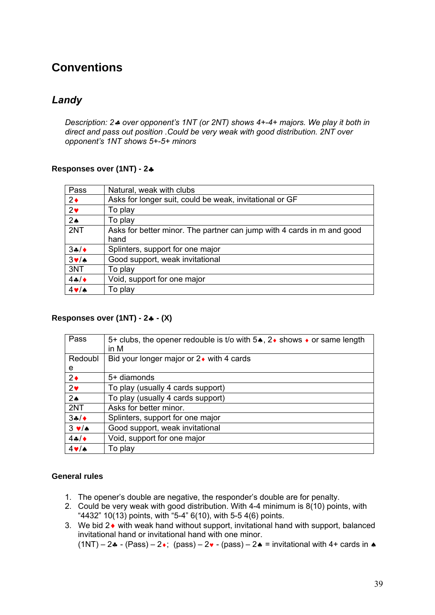# **Conventions**

## *Landy*

*Description: 2 over opponent's 1NT (or 2NT) shows 4+-4+ majors. We play it both in direct and pass out position .Could be very weak with good distribution. 2NT over opponent's 1NT shows 5+-5+ minors* 

#### **Responses over (1NT) - 2**

| Pass                 | Natural, weak with clubs                                               |
|----------------------|------------------------------------------------------------------------|
| $2\bullet$           | Asks for longer suit, could be weak, invitational or GF                |
| 2 <sub>v</sub>       | To play                                                                |
| 2 <sub>•</sub>       | To play                                                                |
| 2NT                  | Asks for better minor. The partner can jump with 4 cards in m and good |
|                      | hand                                                                   |
| 34/                  | Splinters, support for one major                                       |
| $3\nabla/\mathbf{A}$ | Good support, weak invitational                                        |
| 3NT                  | To play                                                                |
| $4 - 4$              | Void, support for one major                                            |
| $4 \vee 4$           | To play                                                                |

#### **Responses over (1NT) - 2 - (X)**

| Pass              | 5+ clubs, the opener redouble is t/o with 5 <sup>*</sup> , 2 <sup>*</sup> shows <sup>*</sup> or same length<br>in M |  |  |
|-------------------|---------------------------------------------------------------------------------------------------------------------|--|--|
| Redoubl           | Bid your longer major or $2\bullet$ with 4 cards                                                                    |  |  |
| e                 |                                                                                                                     |  |  |
| $2\bullet$        | 5+ diamonds                                                                                                         |  |  |
| $2\bullet$        | To play (usually 4 cards support)                                                                                   |  |  |
| 2 <sub>•</sub>    | To play (usually 4 cards support)                                                                                   |  |  |
| 2NT               | Asks for better minor.                                                                                              |  |  |
| 34/               | Splinters, support for one major                                                                                    |  |  |
| $3 \vee 4$        | Good support, weak invitational                                                                                     |  |  |
| 44/               | Void, support for one major                                                                                         |  |  |
| $4 \vee$ $\wedge$ | To play                                                                                                             |  |  |

#### **General rules**

- 1. The opener's double are negative, the responder's double are for penalty.
- 2. Could be very weak with good distribution. With 4-4 minimum is 8(10) points, with " $4432$ " 10(13) points, with "5-4" 6(10), with 5-5 4(6) points.
- 3. We bid  $2\bullet$  with weak hand without support, invitational hand with support, balanced invitational hand or invitational hand with one minor.

 $(1NT) - 2$  - (Pass) – 2 $\cdot$ ; (pass) – 2 $\cdot$  - (pass) – 2 $\cdot$  = invitational with 4+ cards in  $\cdot$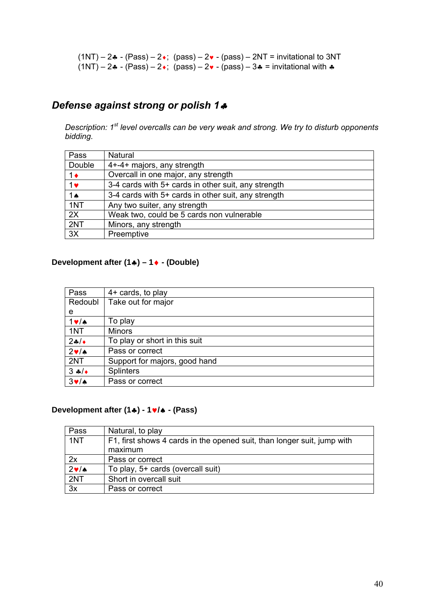$(1NT) - 2$  - (Pass) –  $2$  +; (pass) –  $2$  - (pass) –  $2NT$  = invitational to 3NT  $(1NT) - 2$  -  $(Pass) - 2$ ;  $(pass) - 2$  -  $(pass) - 3$  = invitational with  $\triangle$ 

### *Defense against strong or polish 1*

*Description: 1st level overcalls can be very weak and strong. We try to disturb opponents bidding.* 

| Pass           | Natural                                             |
|----------------|-----------------------------------------------------|
| Double         | 4+-4+ majors, any strength                          |
| $1\bullet$     | Overcall in one major, any strength                 |
| $1$ v          | 3-4 cards with 5+ cards in other suit, any strength |
| $1 \spadesuit$ | 3-4 cards with 5+ cards in other suit, any strength |
| 1NT            | Any two suiter, any strength                        |
| 2X             | Weak two, could be 5 cards non vulnerable           |
| 2NT            | Minors, any strength                                |
| 3X             | Preemptive                                          |

### **Development after (1) – 1 - (Double)**

| Pass        | 4+ cards, to play             |
|-------------|-------------------------------|
| Redoubl     | Take out for major            |
| e           |                               |
| $1 \vee$ /A | To play                       |
| 1NT         | <b>Minors</b>                 |
| $2+1$       | To play or short in this suit |
| $2 \cdot 4$ | Pass or correct               |
| 2NT         | Support for majors, good hand |
| $3 \div 4$  | <b>Splinters</b>              |
| $3 \vee$ /4 | Pass or correct               |

#### **Development after (1) - 1/ - (Pass)**

| Pass        | Natural, to play                                                                   |
|-------------|------------------------------------------------------------------------------------|
| 1NT         | F1, first shows 4 cards in the opened suit, than longer suit, jump with<br>maximum |
|             |                                                                                    |
| 2x          | Pass or correct                                                                    |
| $2 \cdot 4$ | To play, 5+ cards (overcall suit)                                                  |
| 2NT         | Short in overcall suit                                                             |
| 3x          | Pass or correct                                                                    |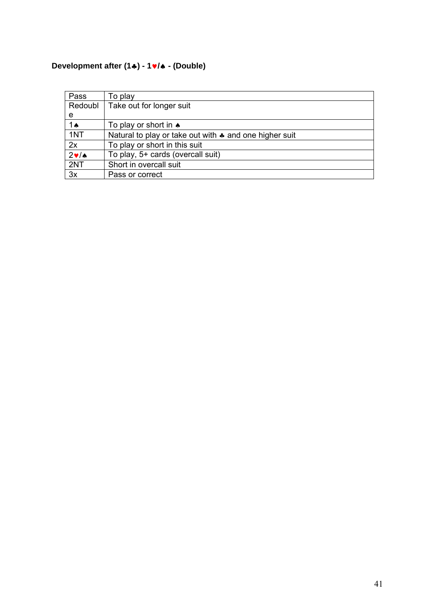## **Development after (1) - 1/ - (Double)**

| Pass          | To play                                                          |
|---------------|------------------------------------------------------------------|
| Redoubl       | Take out for longer suit                                         |
| e             |                                                                  |
| 1 $\triangle$ | To play or short in $\bullet$                                    |
| 1NT           | Natural to play or take out with $\clubsuit$ and one higher suit |
| 2x            | To play or short in this suit                                    |
| $2 \cdot 4$   | To play, 5+ cards (overcall suit)                                |
| 2NT           | Short in overcall suit                                           |
| 3x            | Pass or correct                                                  |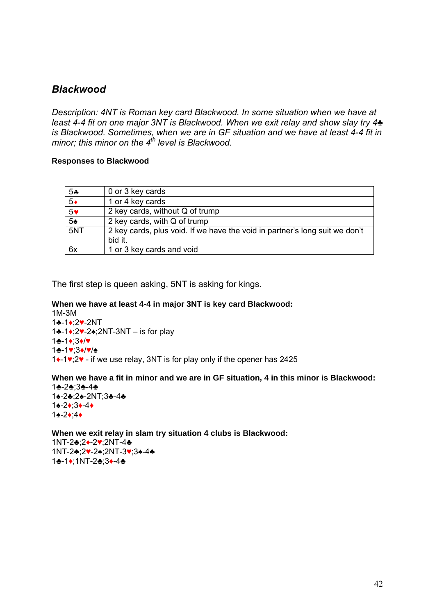### *Blackwood*

*Description: 4NT is Roman key card Blackwood. In some situation when we have at least 4-4 fit on one major 3NT is Blackwood. When we exit relay and show slay try 4♣ is Blackwood. Sometimes, when we are in GF situation and we have at least 4-4 fit in minor; this minor on the 4<sup>th</sup> level is Blackwood.* 

#### **Responses to Blackwood**

| $5 -$          | 0 or 3 key cards                                                                       |
|----------------|----------------------------------------------------------------------------------------|
| $5\bullet$     | 1 or 4 key cards                                                                       |
| $5*$           | 2 key cards, without Q of trump                                                        |
| 5 <sub>2</sub> | 2 key cards, with Q of trump                                                           |
| 5NT            | 2 key cards, plus void. If we have the void in partner's long suit we don't<br>bid it. |
|                |                                                                                        |
| 6x             | 1 or 3 key cards and void                                                              |

The first step is queen asking, 5NT is asking for kings.

#### **When we have at least 4-4 in major 3NT is key card Blackwood:**

1M-3M ♣-1♦;2♥-2NT ♣-1♦;2♥-2♠;2NT-3NT – is for play 1♣-1♦;3♦/♥ ♣-1♥;3♦/♥/♠ ♦-1♥;2♥ - if we use relay, 3NT is for play only if the opener has 2425

#### **When we have a fit in minor and we are in GF situation, 4 in this minor is Blackwood:**

♣-2♣;3♣-4♣ ♠-2♣;2♠-2NT;3♣-4♣ ♠-2♦;3♦-4♦ 1♠-2♦;4♦

**When we exit relay in slam try situation 4 clubs is Blackwood:** 1NT-2♣;2♦-2♥;2NT-4♣ 1NT-2♣;2♥-2♠;2NT-3♥;3♠-4♣ 1♣-1♦;1NT-2♣;3♦-4♣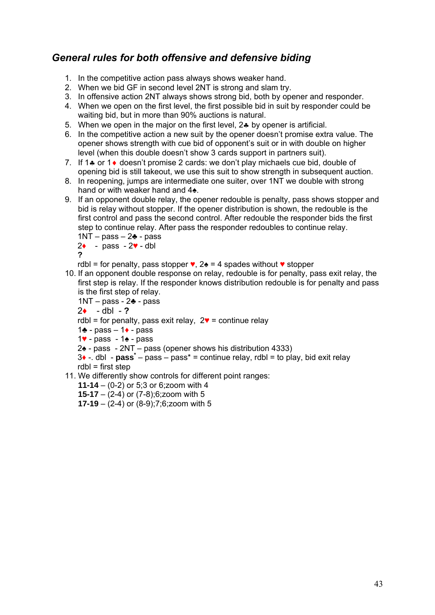## *General rules for both offensive and defensive biding*

- 1. In the competitive action pass always shows weaker hand.
- 2. When we bid GF in second level 2NT is strong and slam try.
- 3. In offensive action 2NT always shows strong bid, both by opener and responder.
- 4. When we open on the first level, the first possible bid in suit by responder could be waiting bid, but in more than 90% auctions is natural.
- 5. When we open in the major on the first level,  $2\cdot$  by opener is artificial.
- 6. In the competitive action a new suit by the opener doesn't promise extra value. The opener shows strength with cue bid of opponent's suit or in with double on higher level (when this double doesn't show 3 cards support in partners suit).
- 7. If 1 $\clubsuit$  or 1 $\lozenge$  doesn't promise 2 cards: we don't play michaels cue bid, double of opening bid is still takeout, we use this suit to show strength in subsequent auction.
- 8. In reopening, jumps are intermediate one suiter, over 1NT we double with strong hand or with weaker hand and 4♠.
- 9. If an opponent double relay, the opener redouble is penalty, pass shows stopper and bid is relay without stopper. If the opener distribution is shown, the redouble is the first control and pass the second control. After redouble the responder bids the first step to continue relay. After pass the responder redoubles to continue relay.

$$
1NT - pass - 24 - pass
$$

$$
2\bullet - \text{pass} - 2\bullet - \text{dbl}
$$

$$
\boldsymbol{?}
$$

rdbl = for penalty, pass stopper  $\bullet$ , 2 $\bullet$  = 4 spades without  $\bullet$  stopper

- 10. If an opponent double response on relay, redouble is for penalty, pass exit relay, the first step is relay. If the responder knows distribution redouble is for penalty and pass is the first step of relay.
	- 1NT pass 2♣ pass
	- 2♦ dbl **?**
	- rdbl = for penalty, pass exit relay,  $2 \cdot = 1$  continue relay
	- 1♣ pass 1♦ pass
	- 1♥ pass 1♠ pass
	- 2♠ pass 2NT pass (opener shows his distribution 4333)
	- $3 \cdot -$  dbl **pass** pass pass<sup>\*</sup> = continue relay, rdbl = to play, bid exit relay  $rdbl = first step$
- 11. We differently show controls for different point ranges:
	- **11-14** (0-2) or 5;3 or 6;zoom with 4
	- **15-17** (2-4) or (7-8);6;zoom with 5
	- **17-19** (2-4) or (8-9);7;6;zoom with 5